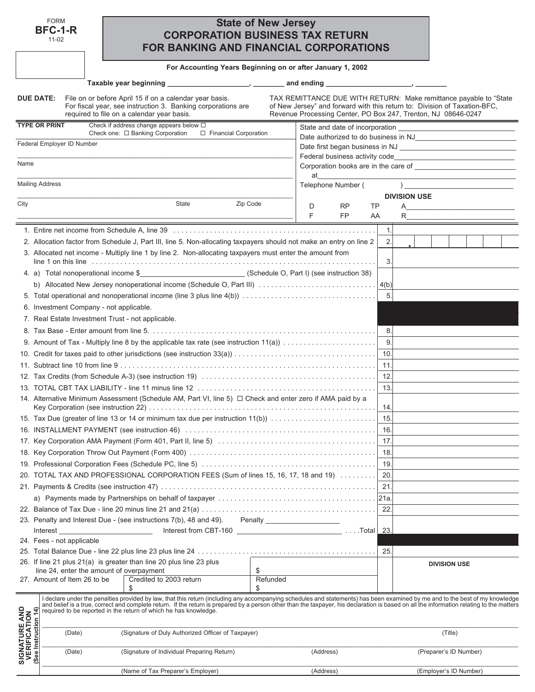| FORM    |  |
|---------|--|
| BFC-1-R |  |

11-02

# **State of New Jersey CORPORATION BUSINESS TAX RETURN FOR BANKING AND FINANCIAL CORPORATIONS**

**For Accounting Years Beginning on or after January 1, 2002**

|                                                                | File on or before April 15 if on a calendar year basis.<br><b>DUE DATE:</b><br>For fiscal year, see instruction 3. Banking corporations are<br>required to file on a calendar year basis.                                                                                                                                                                                                                                                      |                                | TAX REMITTANCE DUE WITH RETURN: Make remittance payable to "State<br>of New Jersey" and forward with this return to: Division of Taxation-BFC,<br>Revenue Processing Center, PO Box 247, Trenton, NJ 08646-0247 |
|----------------------------------------------------------------|------------------------------------------------------------------------------------------------------------------------------------------------------------------------------------------------------------------------------------------------------------------------------------------------------------------------------------------------------------------------------------------------------------------------------------------------|--------------------------------|-----------------------------------------------------------------------------------------------------------------------------------------------------------------------------------------------------------------|
|                                                                | <b>TYPE OR PRINT</b><br>Check if address change appears below $\Box$                                                                                                                                                                                                                                                                                                                                                                           |                                |                                                                                                                                                                                                                 |
|                                                                | Check one: □ Banking Corporation<br>□ Financial Corporation<br>Federal Employer ID Number                                                                                                                                                                                                                                                                                                                                                      |                                |                                                                                                                                                                                                                 |
|                                                                |                                                                                                                                                                                                                                                                                                                                                                                                                                                | Federal business activity code |                                                                                                                                                                                                                 |
| Name                                                           |                                                                                                                                                                                                                                                                                                                                                                                                                                                |                                | <u> 1989 - Johann John Stone, market fan it ferskearre fan it ferskearre fan it ferskearre fan it ferskearre fan i</u><br>Corporation books are in the care of                                                  |
|                                                                |                                                                                                                                                                                                                                                                                                                                                                                                                                                | at                             |                                                                                                                                                                                                                 |
|                                                                | <b>Mailing Address</b>                                                                                                                                                                                                                                                                                                                                                                                                                         | Telephone Number (             | $\overline{a}$                                                                                                                                                                                                  |
|                                                                |                                                                                                                                                                                                                                                                                                                                                                                                                                                |                                | <b>DIVISION USE</b>                                                                                                                                                                                             |
| City                                                           | State<br>Zip Code                                                                                                                                                                                                                                                                                                                                                                                                                              | D<br><b>RP</b><br>TP           | A                                                                                                                                                                                                               |
|                                                                |                                                                                                                                                                                                                                                                                                                                                                                                                                                | <b>FP</b><br>F                 | R<br>AA                                                                                                                                                                                                         |
|                                                                |                                                                                                                                                                                                                                                                                                                                                                                                                                                |                                | 1.                                                                                                                                                                                                              |
|                                                                | 2. Allocation factor from Schedule J, Part III, line 5. Non-allocating taxpayers should not make an entry on line 2                                                                                                                                                                                                                                                                                                                            |                                | 2.                                                                                                                                                                                                              |
|                                                                | 3. Allocated net income - Multiply line 1 by line 2. Non-allocating taxpayers must enter the amount from                                                                                                                                                                                                                                                                                                                                       |                                | 3.                                                                                                                                                                                                              |
|                                                                | 4. a) Total nonoperational income \$_______________________________(Schedule O, Part I) (see instruction 38)                                                                                                                                                                                                                                                                                                                                   |                                |                                                                                                                                                                                                                 |
|                                                                | b) Allocated New Jersey nonoperational income (Schedule O, Part III) $\ldots \ldots \ldots \ldots \ldots \ldots \ldots \ldots$                                                                                                                                                                                                                                                                                                                 |                                |                                                                                                                                                                                                                 |
|                                                                |                                                                                                                                                                                                                                                                                                                                                                                                                                                |                                | 5.                                                                                                                                                                                                              |
|                                                                | 6. Investment Company - not applicable.                                                                                                                                                                                                                                                                                                                                                                                                        |                                |                                                                                                                                                                                                                 |
|                                                                | 7. Real Estate Investment Trust - not applicable.                                                                                                                                                                                                                                                                                                                                                                                              |                                |                                                                                                                                                                                                                 |
|                                                                |                                                                                                                                                                                                                                                                                                                                                                                                                                                |                                | 8.                                                                                                                                                                                                              |
|                                                                |                                                                                                                                                                                                                                                                                                                                                                                                                                                |                                | 9.                                                                                                                                                                                                              |
|                                                                |                                                                                                                                                                                                                                                                                                                                                                                                                                                |                                | 10.                                                                                                                                                                                                             |
|                                                                |                                                                                                                                                                                                                                                                                                                                                                                                                                                |                                | 11.                                                                                                                                                                                                             |
|                                                                |                                                                                                                                                                                                                                                                                                                                                                                                                                                |                                | 12.                                                                                                                                                                                                             |
|                                                                |                                                                                                                                                                                                                                                                                                                                                                                                                                                |                                | 13.                                                                                                                                                                                                             |
|                                                                | 14. Alternative Minimum Assessment (Schedule AM, Part VI, line 5) $\Box$ Check and enter zero if AMA paid by a                                                                                                                                                                                                                                                                                                                                 |                                |                                                                                                                                                                                                                 |
|                                                                |                                                                                                                                                                                                                                                                                                                                                                                                                                                |                                | 14.                                                                                                                                                                                                             |
|                                                                | 15. Tax Due (greater of line 13 or 14 or minimum tax due per instruction 11(b))                                                                                                                                                                                                                                                                                                                                                                |                                | 15.                                                                                                                                                                                                             |
|                                                                |                                                                                                                                                                                                                                                                                                                                                                                                                                                |                                | 16.                                                                                                                                                                                                             |
|                                                                |                                                                                                                                                                                                                                                                                                                                                                                                                                                |                                | 17.                                                                                                                                                                                                             |
|                                                                |                                                                                                                                                                                                                                                                                                                                                                                                                                                |                                | 18.                                                                                                                                                                                                             |
|                                                                |                                                                                                                                                                                                                                                                                                                                                                                                                                                |                                | 19.                                                                                                                                                                                                             |
|                                                                | 20. TOTAL TAX AND PROFESSIONAL CORPORATION FEES (Sum of lines 15, 16, 17, 18 and 19)                                                                                                                                                                                                                                                                                                                                                           |                                | 20.                                                                                                                                                                                                             |
|                                                                |                                                                                                                                                                                                                                                                                                                                                                                                                                                |                                | 21.                                                                                                                                                                                                             |
|                                                                |                                                                                                                                                                                                                                                                                                                                                                                                                                                |                                | 21a                                                                                                                                                                                                             |
|                                                                |                                                                                                                                                                                                                                                                                                                                                                                                                                                |                                | 22.                                                                                                                                                                                                             |
|                                                                | 23. Penalty and Interest Due - (see instructions 7(b), 48 and 49). Penalty ________________________                                                                                                                                                                                                                                                                                                                                            |                                |                                                                                                                                                                                                                 |
|                                                                | Interest                                                                                                                                                                                                                                                                                                                                                                                                                                       |                                | 23.                                                                                                                                                                                                             |
|                                                                | 24. Fees - not applicable                                                                                                                                                                                                                                                                                                                                                                                                                      |                                |                                                                                                                                                                                                                 |
|                                                                |                                                                                                                                                                                                                                                                                                                                                                                                                                                |                                | 25.                                                                                                                                                                                                             |
|                                                                | 26. If line 21 plus 21(a) is greater than line 20 plus line 23 plus                                                                                                                                                                                                                                                                                                                                                                            |                                | <b>DIVISION USE</b>                                                                                                                                                                                             |
|                                                                | line 24, enter the amount of overpayment<br>\$<br>Refunded<br>27. Amount of Item 26 to be<br>Credited to 2003 return<br>\$<br>\$                                                                                                                                                                                                                                                                                                               |                                |                                                                                                                                                                                                                 |
|                                                                | I declare under the penalties provided by law, that this return (including any accompanying schedules and statements) has been examined by me and to the best of my knowledge<br>and belief is a true, correct and complete return. If the return is prepared by a person other than the taxpayer, his declaration is based on all the information relating to the matters<br>required to be reported in the return of which he has knowledge. |                                |                                                                                                                                                                                                                 |
| <b>SIGNATURE AND<br/>VERIFICATION<br/>(See Instruction 14)</b> | (Signature of Duly Authorized Officer of Taxpayer)<br>(Date)                                                                                                                                                                                                                                                                                                                                                                                   |                                | (Title)                                                                                                                                                                                                         |
|                                                                | (Signature of Individual Preparing Return)<br>(Date)                                                                                                                                                                                                                                                                                                                                                                                           | (Address)                      | (Preparer's ID Number)                                                                                                                                                                                          |
|                                                                | (Name of Tax Preparer's Employer)                                                                                                                                                                                                                                                                                                                                                                                                              | (Address)                      | (Employer's ID Number)                                                                                                                                                                                          |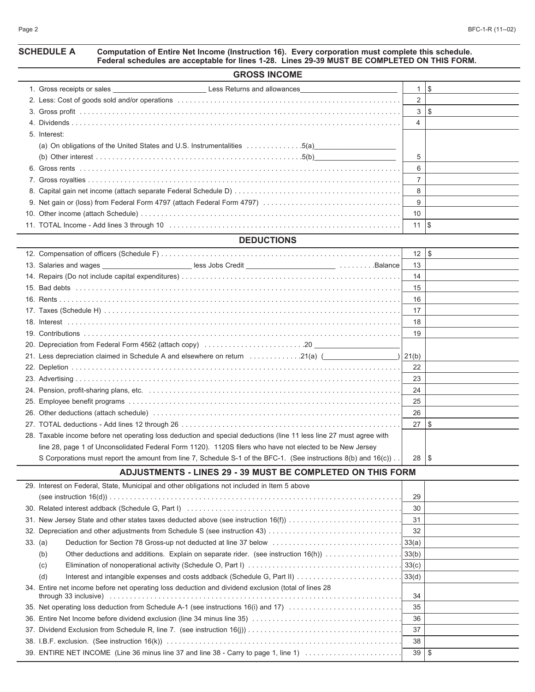### **SCHEDULE A Computation of Entire Net Income (Instruction 16). Every corporation must complete this schedule. Federal schedules are acceptable for lines 1-28. Lines 29-39 MUST BE COMPLETED ON THIS FORM.**

| <b>GROSS INCOME</b>                                                              |                |      |  |  |  |
|----------------------------------------------------------------------------------|----------------|------|--|--|--|
| 1. Gross receipts or sales <b>Example 2.1 Second Less Returns and allowances</b> |                | - \$ |  |  |  |
|                                                                                  | 2              |      |  |  |  |
|                                                                                  | 3              |      |  |  |  |
|                                                                                  | $\overline{4}$ |      |  |  |  |
| 5. Interest:                                                                     |                |      |  |  |  |
| (a) On obligations of the United States and U.S. Instrumentalities 5(a)          |                |      |  |  |  |
|                                                                                  | 5              |      |  |  |  |
|                                                                                  | 6              |      |  |  |  |
|                                                                                  |                |      |  |  |  |
|                                                                                  | 8              |      |  |  |  |
|                                                                                  | 9              |      |  |  |  |
|                                                                                  | 10             |      |  |  |  |
|                                                                                  | 11             |      |  |  |  |
| <b>DEDUCTIONS</b>                                                                |                |      |  |  |  |

| 13. Salaries and wages ___________________________less Jobs Credit ______________________________Balance            | 13 |    |
|---------------------------------------------------------------------------------------------------------------------|----|----|
|                                                                                                                     | 14 |    |
|                                                                                                                     | 15 |    |
|                                                                                                                     | 16 |    |
|                                                                                                                     | 17 |    |
|                                                                                                                     | 18 |    |
|                                                                                                                     | 19 |    |
|                                                                                                                     |    |    |
| 21. Less depreciation claimed in Schedule A and elsewhere on return $\ldots \ldots \ldots \ldots$ 21(a) $($         |    |    |
|                                                                                                                     | 22 |    |
|                                                                                                                     | 23 |    |
|                                                                                                                     | 24 |    |
|                                                                                                                     | 25 |    |
|                                                                                                                     | 26 |    |
|                                                                                                                     | 27 | \$ |
| 28. Taxable income before net operating loss deduction and special deductions (line 11 less line 27 must agree with |    |    |
| line 28, page 1 of Unconsolidated Federal Form 1120). 1120S filers who have not elected to be New Jersey            |    |    |
| S Corporations must report the amount from line 7, Schedule S-1 of the BFC-1. (See instructions 8(b) and 16(c))     | 28 | -5 |

### **ADJUSTMENTS - LINES 29 - 39 MUST BE COMPLETED ON THIS FORM**

| 29. Interest on Federal, State, Municipal and other obligations not included in Item 5 above        |    |    |
|-----------------------------------------------------------------------------------------------------|----|----|
|                                                                                                     | 29 |    |
|                                                                                                     | 30 |    |
| 31. New Jersey State and other states taxes deducted above (see instruction 16(f)                   | 31 |    |
|                                                                                                     | 32 |    |
| 33. (a)                                                                                             |    |    |
| (b)                                                                                                 |    |    |
| (C)                                                                                                 |    |    |
| (d)                                                                                                 |    |    |
| 34. Entire net income before net operating loss deduction and dividend exclusion (total of lines 28 | 34 |    |
| 35. Net operating loss deduction from Schedule A-1 (see instructions 16(i) and 17)                  | 35 |    |
|                                                                                                     | 36 |    |
|                                                                                                     | 37 |    |
|                                                                                                     | 38 |    |
| 39. ENTIRE NET INCOME (Line 36 minus line 37 and line 38 - Carry to page 1, line 1)                 | 39 | \$ |
|                                                                                                     |    |    |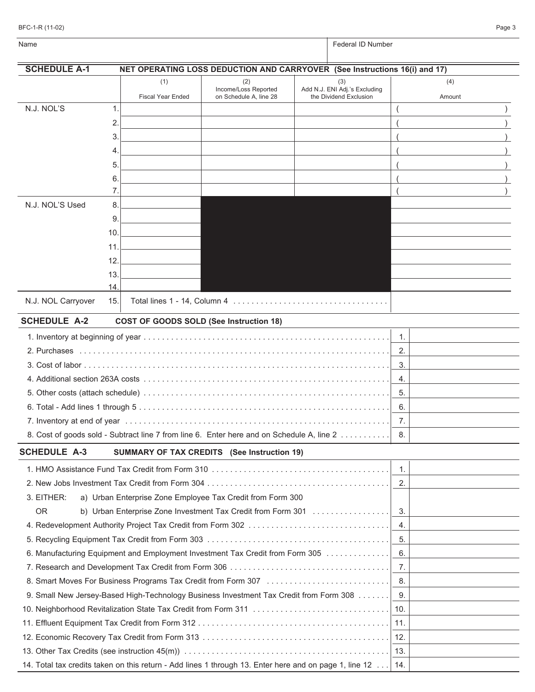| BFC-1-R (11-02) | Page 3 |  |
|-----------------|--------|--|
|                 |        |  |

| Name                |                                                                                                        |                                                | Federal ID Number                                       |     |        |  |  |
|---------------------|--------------------------------------------------------------------------------------------------------|------------------------------------------------|---------------------------------------------------------|-----|--------|--|--|
| <b>SCHEDULE A-1</b> | NET OPERATING LOSS DEDUCTION AND CARRYOVER (See Instructions 16(i) and 17)                             |                                                |                                                         |     |        |  |  |
|                     | (1)                                                                                                    | (2)                                            | (3)                                                     |     | (4)    |  |  |
|                     | <b>Fiscal Year Ended</b>                                                                               | Income/Loss Reported<br>on Schedule A, line 28 | Add N.J. ENI Adj.'s Excluding<br>the Dividend Exclusion |     | Amount |  |  |
| N.J. NOL'S          | 1.                                                                                                     |                                                |                                                         |     |        |  |  |
|                     | 2.                                                                                                     |                                                |                                                         |     |        |  |  |
|                     | 3.                                                                                                     |                                                |                                                         |     |        |  |  |
|                     | 4.                                                                                                     |                                                |                                                         |     |        |  |  |
|                     | 5.                                                                                                     |                                                |                                                         |     |        |  |  |
|                     | 6.                                                                                                     |                                                |                                                         |     |        |  |  |
|                     | 7.                                                                                                     |                                                |                                                         |     |        |  |  |
| N.J. NOL'S Used     | 8.                                                                                                     |                                                |                                                         |     |        |  |  |
|                     | 9.                                                                                                     |                                                |                                                         |     |        |  |  |
|                     | 10.                                                                                                    |                                                |                                                         |     |        |  |  |
|                     | 11.                                                                                                    |                                                |                                                         |     |        |  |  |
|                     | 12.                                                                                                    |                                                |                                                         |     |        |  |  |
|                     | 13.                                                                                                    |                                                |                                                         |     |        |  |  |
| N.J. NOL Carryover  | 14.<br>15.                                                                                             |                                                |                                                         |     |        |  |  |
|                     |                                                                                                        |                                                |                                                         |     |        |  |  |
| <b>SCHEDULE A-2</b> | <b>COST OF GOODS SOLD (See Instruction 18)</b>                                                         |                                                |                                                         |     |        |  |  |
|                     |                                                                                                        |                                                |                                                         | 1.  |        |  |  |
|                     |                                                                                                        |                                                |                                                         | 2.  |        |  |  |
|                     |                                                                                                        |                                                |                                                         | 3.  |        |  |  |
|                     |                                                                                                        |                                                |                                                         | 4.  |        |  |  |
|                     |                                                                                                        |                                                |                                                         | 5.  |        |  |  |
|                     |                                                                                                        |                                                |                                                         | 6.  |        |  |  |
|                     |                                                                                                        |                                                |                                                         | 7.  |        |  |  |
|                     | 8. Cost of goods sold - Subtract line 7 from line 6. Enter here and on Schedule A, line 2              |                                                |                                                         | 8.  |        |  |  |
| <b>SCHEDULE A-3</b> | SUMMARY OF TAX CREDITS (See Instruction 19)                                                            |                                                |                                                         |     |        |  |  |
|                     |                                                                                                        |                                                |                                                         | 1.  |        |  |  |
|                     |                                                                                                        |                                                |                                                         | 2.  |        |  |  |
| 3. EITHER:          | a) Urban Enterprise Zone Employee Tax Credit from Form 300                                             |                                                |                                                         |     |        |  |  |
| <b>OR</b>           | b) Urban Enterprise Zone Investment Tax Credit from Form 301                                           |                                                |                                                         | 3.  |        |  |  |
|                     | 4. Redevelopment Authority Project Tax Credit from Form 302                                            |                                                |                                                         | 4.  |        |  |  |
|                     |                                                                                                        |                                                |                                                         | 5.  |        |  |  |
|                     | 6. Manufacturing Equipment and Employment Investment Tax Credit from Form 305                          |                                                |                                                         | 6.  |        |  |  |
|                     |                                                                                                        |                                                |                                                         | 7.  |        |  |  |
|                     |                                                                                                        |                                                |                                                         | 8.  |        |  |  |
|                     | 9. Small New Jersey-Based High-Technology Business Investment Tax Credit from Form 308                 |                                                |                                                         | 9.  |        |  |  |
|                     |                                                                                                        |                                                |                                                         | 10. |        |  |  |
|                     |                                                                                                        |                                                |                                                         | 11. |        |  |  |
|                     |                                                                                                        |                                                |                                                         | 12. |        |  |  |
|                     |                                                                                                        |                                                |                                                         | 13. |        |  |  |
|                     | 14. Total tax credits taken on this return - Add lines 1 through 13. Enter here and on page 1, line 12 |                                                |                                                         | 14. |        |  |  |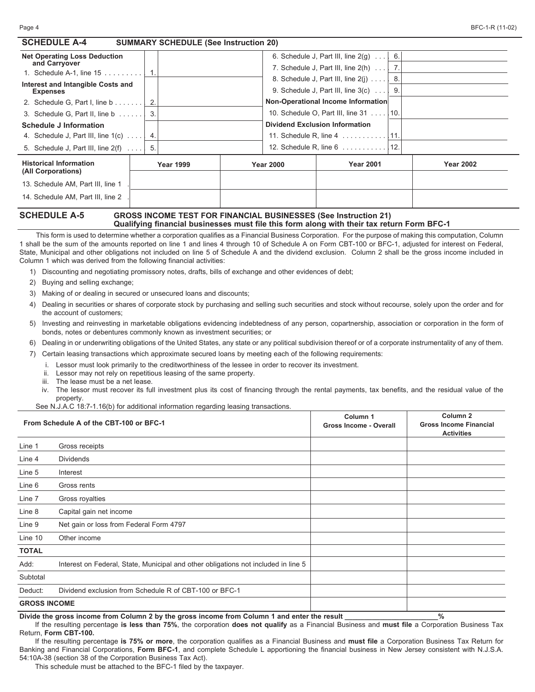| <b>SCHEDULE A-4</b><br><b>SUMMARY SCHEDULE (See Instruction 20)</b> |     |                  |  |                                       |                                                                 |     |                  |
|---------------------------------------------------------------------|-----|------------------|--|---------------------------------------|-----------------------------------------------------------------|-----|------------------|
| <b>Net Operating Loss Deduction</b>                                 |     |                  |  |                                       | 6. Schedule J, Part III, line $2(q) \ldots$                     | 6.  |                  |
| and Carryover                                                       |     |                  |  |                                       | 7. Schedule J, Part III, line $2(h) \ldots$                     |     |                  |
| 1. Schedule A-1, line 15                                            |     |                  |  |                                       | 8. Schedule J, Part III, line $2(i)$                            | -8. |                  |
| Interest and Intangible Costs and<br><b>Expenses</b>                |     |                  |  |                                       | 9. Schedule J, Part III, line $3(c) \ldots$                     | 9.  |                  |
| 2. Schedule G, Part I, line $b \ldots \ldots$                       |     |                  |  |                                       | Non-Operational Income Information                              |     |                  |
| 3. Schedule G, Part II, line b                                      | 3.  |                  |  |                                       | 10. Schedule O, Part III, line 31 10.                           |     |                  |
| <b>Schedule J Information</b>                                       |     |                  |  | <b>Dividend Exclusion Information</b> |                                                                 |     |                  |
| 4. Schedule J, Part III, line $1(c)$                                | -4. |                  |  |                                       |                                                                 |     |                  |
| 5. Schedule J, Part III, line $2(f)$                                | 5.  |                  |  |                                       | 12. Schedule R, line $6 \ldots \ldots \ldots$                   | 12. |                  |
| <b>Historical Information</b><br>(All Corporations)                 |     | <b>Year 1999</b> |  | <b>Year 2000</b>                      | <b>Year 2001</b>                                                |     | <b>Year 2002</b> |
| 13. Schedule AM, Part III, line 1                                   |     |                  |  |                                       |                                                                 |     |                  |
| 14. Schedule AM, Part III, line 2                                   |     |                  |  |                                       |                                                                 |     |                  |
| CAUENII E A E                                                       |     |                  |  |                                       | COOCO INCOME TECT FOD FINANCIAL DUCINECCES (See Instruction 04) |     |                  |

### **SCHEDULE A-5 GROSS INCOME TEST FOR FINANCIAL BUSINESSES (See Instruction 21) Qualifying financial businesses must file this form along with their tax return Form BFC-1**

This form is used to determine whether a corporation qualifies as a Financial Business Corporation. For the purpose of making this computation, Column 1 shall be the sum of the amounts reported on line 1 and lines 4 through 10 of Schedule A on Form CBT-100 or BFC-1, adjusted for interest on Federal, State, Municipal and other obligations not included on line 5 of Schedule A and the dividend exclusion. Column 2 shall be the gross income included in Column 1 which was derived from the following financial activities:

1) Discounting and negotiating promissory notes, drafts, bills of exchange and other evidences of debt;

2) Buying and selling exchange;

3) Making of or dealing in secured or unsecured loans and discounts;

- 4) Dealing in securities or shares of corporate stock by purchasing and selling such securities and stock without recourse, solely upon the order and for the account of customers;
- 5) Investing and reinvesting in marketable obligations evidencing indebtedness of any person, copartnership, association or corporation in the form of bonds, notes or debentures commonly known as investment securities; or
- 6) Dealing in or underwriting obligations of the United States, any state or any political subdivision thereof or of a corporate instrumentality of any of them.
- 7) Certain leasing transactions which approximate secured loans by meeting each of the following requirements:
	- i. Lessor must look primarily to the creditworthiness of the lessee in order to recover its investment.
	- ii. Lessor may not rely on repetitious leasing of the same property.
	- iii. The lease must be a net lease.
	- iv. The lessor must recover its full investment plus its cost of financing through the rental payments, tax benefits, and the residual value of the property.

See N.J.A.C 18:7-1.16(b) for additional information regarding leasing transactions.

|                     | From Schedule A of the CBT-100 or BFC-1                                            | Column 1<br><b>Gross Income - Overall</b> | Column <sub>2</sub><br><b>Gross Income Financial</b><br><b>Activities</b> |
|---------------------|------------------------------------------------------------------------------------|-------------------------------------------|---------------------------------------------------------------------------|
| Line 1              | Gross receipts                                                                     |                                           |                                                                           |
| Line 4              | <b>Dividends</b>                                                                   |                                           |                                                                           |
| Line 5              | Interest                                                                           |                                           |                                                                           |
| Line 6              | Gross rents                                                                        |                                           |                                                                           |
| Line 7              | Gross royalties                                                                    |                                           |                                                                           |
| Line 8              | Capital gain net income                                                            |                                           |                                                                           |
| Line 9              | Net gain or loss from Federal Form 4797                                            |                                           |                                                                           |
| Line 10             | Other income                                                                       |                                           |                                                                           |
| <b>TOTAL</b>        |                                                                                    |                                           |                                                                           |
| Add:                | Interest on Federal, State, Municipal and other obligations not included in line 5 |                                           |                                                                           |
| Subtotal            |                                                                                    |                                           |                                                                           |
| Deduct:             | Dividend exclusion from Schedule R of CBT-100 or BFC-1                             |                                           |                                                                           |
| <b>GROSS INCOME</b> |                                                                                    |                                           |                                                                           |

**Divide the gross income from Column 2 by the gross income from Column 1 and enter the result \_\_\_\_\_\_\_\_\_\_\_\_\_\_\_\_\_\_\_\_\_\_\_\_%**

If the resulting percentage **is less than 75%**, the corporation **does not qualify** as a Financial Business and **must file** a Corporation Business Tax Return, **Form CBT-100.**

If the resulting percentage **is 75% or more**, the corporation qualifies as a Financial Business and **must file** a Corporation Business Tax Return for Banking and Financial Corporations, **Form BFC-1**, and complete Schedule L apportioning the financial business in New Jersey consistent with N.J.S.A. 54:10A-38 (section 38 of the Corporation Business Tax Act).

This schedule must be attached to the BFC-1 filed by the taxpayer.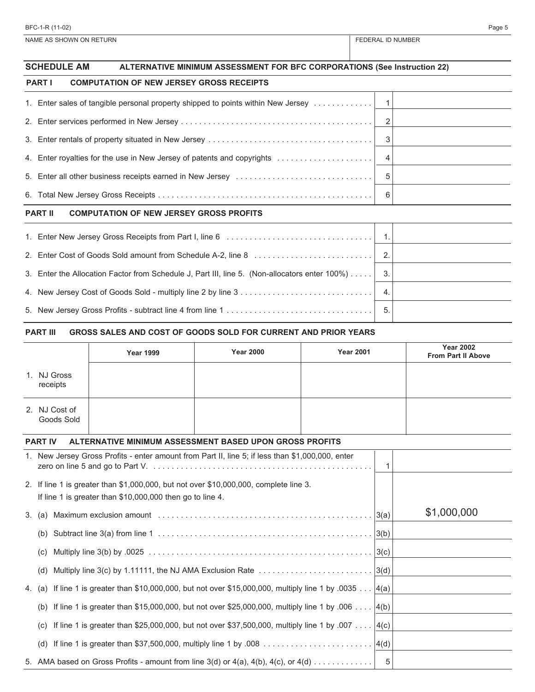NAME AS SHOWN ON RETURN FEDERAL ID NUMBER

|                                                                  | <b>SCHEDULE AM</b><br>ALTERNATIVE MINIMUM ASSESSMENT FOR BFC CORPORATIONS (See Instruction 22) |                         |  |  |  |  |
|------------------------------------------------------------------|------------------------------------------------------------------------------------------------|-------------------------|--|--|--|--|
|                                                                  | <b>PART I</b><br><b>COMPUTATION OF NEW JERSEY GROSS RECEIPTS</b>                               |                         |  |  |  |  |
|                                                                  | 1. Enter sales of tangible personal property shipped to points within New Jersey   1           |                         |  |  |  |  |
|                                                                  |                                                                                                |                         |  |  |  |  |
|                                                                  |                                                                                                | $\overline{\mathbf{3}}$ |  |  |  |  |
|                                                                  | 4. Enter royalties for the use in New Jersey of patents and copyrights                         |                         |  |  |  |  |
|                                                                  |                                                                                                | - 5                     |  |  |  |  |
|                                                                  |                                                                                                | - 6                     |  |  |  |  |
| <b>PART II</b><br><b>COMPUTATION OF NEW JERSEY GROSS PROFITS</b> |                                                                                                |                         |  |  |  |  |
|                                                                  |                                                                                                |                         |  |  |  |  |
|                                                                  |                                                                                                |                         |  |  |  |  |
|                                                                  | 3. Enter the Allocation Factor from Schedule J, Part III, line 5. (Non-allocators enter 100%)  | 3.                      |  |  |  |  |
|                                                                  |                                                                                                |                         |  |  |  |  |

5. New Jersey Gross Profits - subtract line 4 from line 1 . . . . . . . . . . . . . . . . . . . . . . . . . . . . . . . . 5.

### **PART III GROSS SALES AND COST OF GOODS SOLD FOR CURRENT AND PRIOR YEARS**

|                             | <b>Year 1999</b>                                                                                                                                   | <b>Year 2000</b> | <b>Year 2001</b> |   | <b>Year 2002</b><br><b>From Part II Above</b> |
|-----------------------------|----------------------------------------------------------------------------------------------------------------------------------------------------|------------------|------------------|---|-----------------------------------------------|
| 1. NJ Gross<br>receipts     |                                                                                                                                                    |                  |                  |   |                                               |
| 2. NJ Cost of<br>Goods Sold |                                                                                                                                                    |                  |                  |   |                                               |
| <b>PART IV</b>              | ALTERNATIVE MINIMUM ASSESSMENT BASED UPON GROSS PROFITS                                                                                            |                  |                  |   |                                               |
|                             | 1. New Jersey Gross Profits - enter amount from Part II, line 5; if less than \$1,000,000, enter                                                   |                  |                  | 1 |                                               |
|                             | 2. If line 1 is greater than \$1,000,000, but not over \$10,000,000, complete line 3.<br>If line 1 is greater than \$10,000,000 then go to line 4. |                  |                  |   |                                               |
|                             |                                                                                                                                                    |                  |                  |   | \$1,000,000                                   |
| (b)                         |                                                                                                                                                    |                  |                  |   |                                               |
| (C)                         |                                                                                                                                                    |                  |                  |   |                                               |
| (d)                         | Multiply line 3(c) by 1.11111, the NJ AMA Exclusion Rate $\ldots \ldots \ldots \ldots \ldots \ldots \ldots \ldots$                                 |                  |                  |   |                                               |
| 4. (a)                      | If line 1 is greater than \$10,000,000, but not over \$15,000,000, multiply line 1 by .0035 $\ldots$ 4(a)                                          |                  |                  |   |                                               |
| (b)                         | If line 1 is greater than \$15,000,000, but not over \$25,000,000, multiply line 1 by .006 $ 4(b)$                                                 |                  |                  |   |                                               |
| (C)                         | If line 1 is greater than \$25,000,000, but not over \$37,500,000, multiply line 1 by .007 $ 4(c)$                                                 |                  |                  |   |                                               |
| (d)                         |                                                                                                                                                    |                  |                  |   |                                               |
|                             | 5. AMA based on Gross Profits - amount from line $3(d)$ or $4(a)$ , $4(b)$ , $4(c)$ , or $4(d)$                                                    |                  |                  | 5 |                                               |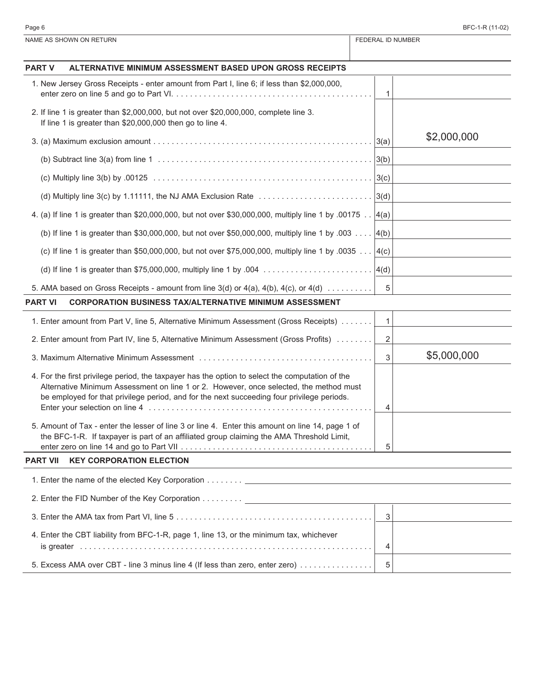| NAME AS SHOWN ON RETURN                                                                                                                                                                                                                                                                 |              | FEDERAL ID NUMBER |  |  |
|-----------------------------------------------------------------------------------------------------------------------------------------------------------------------------------------------------------------------------------------------------------------------------------------|--------------|-------------------|--|--|
| <b>PART V</b><br>ALTERNATIVE MINIMUM ASSESSMENT BASED UPON GROSS RECEIPTS                                                                                                                                                                                                               |              |                   |  |  |
| 1. New Jersey Gross Receipts - enter amount from Part I, line 6; if less than \$2,000,000,                                                                                                                                                                                              |              |                   |  |  |
|                                                                                                                                                                                                                                                                                         | 1            |                   |  |  |
| 2. If line 1 is greater than \$2,000,000, but not over \$20,000,000, complete line 3.<br>If line 1 is greater than \$20,000,000 then go to line 4.                                                                                                                                      |              |                   |  |  |
|                                                                                                                                                                                                                                                                                         |              | \$2,000,000       |  |  |
|                                                                                                                                                                                                                                                                                         |              |                   |  |  |
|                                                                                                                                                                                                                                                                                         |              |                   |  |  |
| (d) Multiply line 3(c) by 1.11111, the NJ AMA Exclusion Rate $\ldots \ldots \ldots \ldots \ldots \ldots \ldots \ldots$                                                                                                                                                                  |              |                   |  |  |
| 4. (a) If line 1 is greater than \$20,000,000, but not over \$30,000,000, multiply line 1 by .00175  4(a)                                                                                                                                                                               |              |                   |  |  |
| (b) If line 1 is greater than \$30,000,000, but not over \$50,000,000, multiply line 1 by .003 $ 4(b)$                                                                                                                                                                                  |              |                   |  |  |
| (c) If line 1 is greater than \$50,000,000, but not over \$75,000,000, multiply line 1 by .0035 $ 4(c)$                                                                                                                                                                                 |              |                   |  |  |
|                                                                                                                                                                                                                                                                                         |              |                   |  |  |
| 5. AMA based on Gross Receipts - amount from line $3(d)$ or $4(a)$ , $4(b)$ , $4(c)$ , or $4(d)$                                                                                                                                                                                        | 5            |                   |  |  |
| <b>CORPORATION BUSINESS TAX/ALTERNATIVE MINIMUM ASSESSMENT</b><br><b>PART VI</b>                                                                                                                                                                                                        |              |                   |  |  |
| 1. Enter amount from Part V, line 5, Alternative Minimum Assessment (Gross Receipts)                                                                                                                                                                                                    | $\mathbf{1}$ |                   |  |  |
| 2. Enter amount from Part IV, line 5, Alternative Minimum Assessment (Gross Profits)                                                                                                                                                                                                    | 2            |                   |  |  |
|                                                                                                                                                                                                                                                                                         | 3            | \$5,000,000       |  |  |
| 4. For the first privilege period, the taxpayer has the option to select the computation of the<br>Alternative Minimum Assessment on line 1 or 2. However, once selected, the method must<br>be employed for that privilege period, and for the next succeeding four privilege periods. | 4            |                   |  |  |
| 5. Amount of Tax - enter the lesser of line 3 or line 4. Enter this amount on line 14, page 1 of<br>the BFC-1-R. If taxpayer is part of an affiliated group claiming the AMA Threshold Limit,                                                                                           | 5            |                   |  |  |
| <b>KEY CORPORATION ELECTION</b><br><b>PART VII</b>                                                                                                                                                                                                                                      |              |                   |  |  |
|                                                                                                                                                                                                                                                                                         |              |                   |  |  |
|                                                                                                                                                                                                                                                                                         |              |                   |  |  |
|                                                                                                                                                                                                                                                                                         | 3            |                   |  |  |
| 4. Enter the CBT liability from BFC-1-R, page 1, line 13, or the minimum tax, whichever                                                                                                                                                                                                 | 4            |                   |  |  |
| 5. Excess AMA over CBT - line 3 minus line 4 (If less than zero, enter zero)                                                                                                                                                                                                            | 5            |                   |  |  |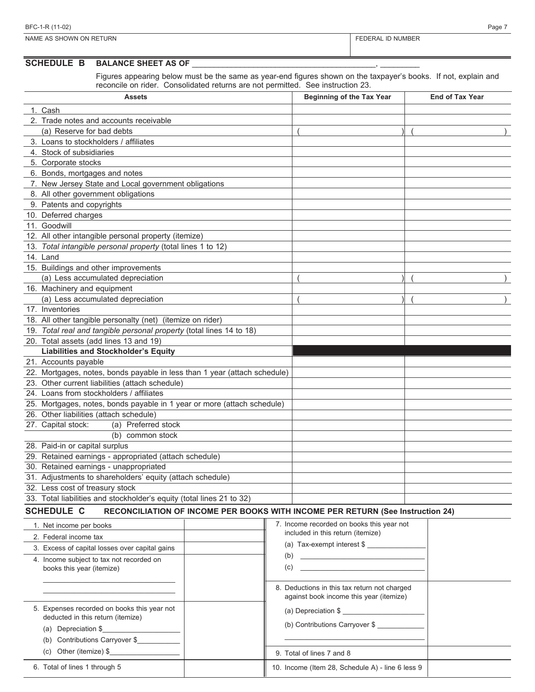## **SCHEDULE B BALANCE SHEET AS OF**

Figures appearing below must be the same as year-end figures shown on the taxpayer's books. If not, explain and reconcile on rider. Consolidated returns are not permitted. See instruction 23.

| Assets                                                                    | sonoondatod Total no di o Tiot pormittod: |     | Beginning of the Tax Year                                                      | <b>End of Tax Year</b> |
|---------------------------------------------------------------------------|-------------------------------------------|-----|--------------------------------------------------------------------------------|------------------------|
| 1. Cash                                                                   |                                           |     |                                                                                |                        |
| 2. Trade notes and accounts receivable                                    |                                           |     |                                                                                |                        |
| (a) Reserve for bad debts                                                 |                                           |     |                                                                                |                        |
| 3. Loans to stockholders / affiliates                                     |                                           |     |                                                                                |                        |
| 4. Stock of subsidiaries                                                  |                                           |     |                                                                                |                        |
| 5. Corporate stocks                                                       |                                           |     |                                                                                |                        |
| 6. Bonds, mortgages and notes                                             |                                           |     |                                                                                |                        |
| 7. New Jersey State and Local government obligations                      |                                           |     |                                                                                |                        |
| 8. All other government obligations                                       |                                           |     |                                                                                |                        |
| 9. Patents and copyrights                                                 |                                           |     |                                                                                |                        |
| 10. Deferred charges                                                      |                                           |     |                                                                                |                        |
| 11. Goodwill                                                              |                                           |     |                                                                                |                        |
| 12. All other intangible personal property (itemize)                      |                                           |     |                                                                                |                        |
| 13. Total intangible personal property (total lines 1 to 12)              |                                           |     |                                                                                |                        |
| 14. Land                                                                  |                                           |     |                                                                                |                        |
| 15. Buildings and other improvements                                      |                                           |     |                                                                                |                        |
| (a) Less accumulated depreciation                                         |                                           |     |                                                                                |                        |
| 16. Machinery and equipment                                               |                                           |     |                                                                                |                        |
| (a) Less accumulated depreciation                                         |                                           |     |                                                                                |                        |
| 17. Inventories                                                           |                                           |     |                                                                                |                        |
| 18. All other tangible personalty (net) (itemize on rider)                |                                           |     |                                                                                |                        |
| 19. Total real and tangible personal property (total lines 14 to 18)      |                                           |     |                                                                                |                        |
| 20. Total assets (add lines 13 and 19)                                    |                                           |     |                                                                                |                        |
| <b>Liabilities and Stockholder's Equity</b>                               |                                           |     |                                                                                |                        |
| 21. Accounts payable                                                      |                                           |     |                                                                                |                        |
| 22. Mortgages, notes, bonds payable in less than 1 year (attach schedule) |                                           |     |                                                                                |                        |
| 23. Other current liabilities (attach schedule)                           |                                           |     |                                                                                |                        |
| 24. Loans from stockholders / affiliates                                  |                                           |     |                                                                                |                        |
| 25. Mortgages, notes, bonds payable in 1 year or more (attach schedule)   |                                           |     |                                                                                |                        |
| 26. Other liabilities (attach schedule)                                   |                                           |     |                                                                                |                        |
| (a) Preferred stock<br>27. Capital stock:                                 |                                           |     |                                                                                |                        |
| (b) common stock                                                          |                                           |     |                                                                                |                        |
| 28. Paid-in or capital surplus                                            |                                           |     |                                                                                |                        |
| 29. Retained earnings - appropriated (attach schedule)                    |                                           |     |                                                                                |                        |
| 30. Retained earnings - unappropriated                                    |                                           |     |                                                                                |                        |
| 31. Adjustments to shareholders' equity (attach schedule)                 |                                           |     |                                                                                |                        |
| 32. Less cost of treasury stock                                           |                                           |     |                                                                                |                        |
| 33. Total liabilities and stockholder's equity (total lines 21 to 32)     |                                           |     |                                                                                |                        |
| <b>SCHEDULE C</b>                                                         |                                           |     | RECONCILIATION OF INCOME PER BOOKS WITH INCOME PER RETURN (See Instruction 24) |                        |
| 1. Net income per books                                                   |                                           |     | 7. Income recorded on books this year not                                      |                        |
| 2. Federal income tax                                                     |                                           |     | included in this return (itemize)                                              |                        |
| 3. Excess of capital losses over capital gains                            |                                           |     | (a) Tax-exempt interest \$                                                     |                        |
| 4 Income subject to tax not recorded on                                   |                                           | (b) |                                                                                |                        |

| 3. Excess of capital losses over capital gains                                                                                            | $(a)$ rax-exempt interest $\psi$                                                        |
|-------------------------------------------------------------------------------------------------------------------------------------------|-----------------------------------------------------------------------------------------|
| 4. Income subject to tax not recorded on<br>books this year (itemize)                                                                     | (b)<br>(c)                                                                              |
|                                                                                                                                           | 8. Deductions in this tax return not charged<br>against book income this year (itemize) |
| 5. Expenses recorded on books this year not<br>deducted in this return (itemize)<br>(a) Depreciation \$<br>(b) Contributions Carryover \$ | (a) Depreciation \$<br>(b) Contributions Carryover \$                                   |
| (c) Other (itemize) $\frac{1}{2}$                                                                                                         | 9. Total of lines 7 and 8                                                               |
| 6. Total of lines 1 through 5                                                                                                             | 10. Income (Item 28, Schedule A) - line 6 less 9                                        |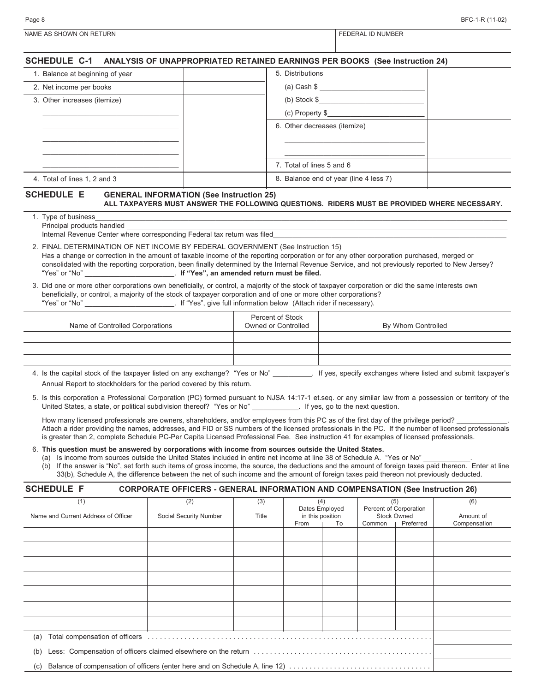| Page 8                                                                                                                                                                                                                                                                                                                                                                                                                                                                                                                                                                                                                                                                                                                                                                                     |                                                                                                                                                |                                         |                                                 |  |                                                                    | BFC-1-R (11-02)           |
|--------------------------------------------------------------------------------------------------------------------------------------------------------------------------------------------------------------------------------------------------------------------------------------------------------------------------------------------------------------------------------------------------------------------------------------------------------------------------------------------------------------------------------------------------------------------------------------------------------------------------------------------------------------------------------------------------------------------------------------------------------------------------------------------|------------------------------------------------------------------------------------------------------------------------------------------------|-----------------------------------------|-------------------------------------------------|--|--------------------------------------------------------------------|---------------------------|
| NAME AS SHOWN ON RETURN                                                                                                                                                                                                                                                                                                                                                                                                                                                                                                                                                                                                                                                                                                                                                                    |                                                                                                                                                |                                         |                                                 |  | <b>FEDERAL ID NUMBER</b>                                           |                           |
| SCHEDULE C-1 ANALYSIS OF UNAPPROPRIATED RETAINED EARNINGS PER BOOKS (See Instruction 24)                                                                                                                                                                                                                                                                                                                                                                                                                                                                                                                                                                                                                                                                                                   |                                                                                                                                                |                                         |                                                 |  |                                                                    |                           |
| 1. Balance at beginning of year                                                                                                                                                                                                                                                                                                                                                                                                                                                                                                                                                                                                                                                                                                                                                            |                                                                                                                                                |                                         | 5. Distributions                                |  |                                                                    |                           |
| 2. Net income per books                                                                                                                                                                                                                                                                                                                                                                                                                                                                                                                                                                                                                                                                                                                                                                    |                                                                                                                                                |                                         |                                                 |  | (a) Cash \$                                                        |                           |
| 3. Other increases (itemize)                                                                                                                                                                                                                                                                                                                                                                                                                                                                                                                                                                                                                                                                                                                                                               |                                                                                                                                                |                                         | (b) Stock \$                                    |  |                                                                    |                           |
|                                                                                                                                                                                                                                                                                                                                                                                                                                                                                                                                                                                                                                                                                                                                                                                            |                                                                                                                                                |                                         |                                                 |  | $(c)$ Property $\frac{c}{c}$                                       |                           |
|                                                                                                                                                                                                                                                                                                                                                                                                                                                                                                                                                                                                                                                                                                                                                                                            |                                                                                                                                                |                                         | 6. Other decreases (itemize)                    |  |                                                                    |                           |
|                                                                                                                                                                                                                                                                                                                                                                                                                                                                                                                                                                                                                                                                                                                                                                                            |                                                                                                                                                |                                         |                                                 |  |                                                                    |                           |
|                                                                                                                                                                                                                                                                                                                                                                                                                                                                                                                                                                                                                                                                                                                                                                                            |                                                                                                                                                |                                         |                                                 |  |                                                                    |                           |
|                                                                                                                                                                                                                                                                                                                                                                                                                                                                                                                                                                                                                                                                                                                                                                                            |                                                                                                                                                |                                         | 7. Total of lines 5 and 6                       |  |                                                                    |                           |
| 4. Total of lines 1, 2 and 3                                                                                                                                                                                                                                                                                                                                                                                                                                                                                                                                                                                                                                                                                                                                                               |                                                                                                                                                |                                         | 8. Balance end of year (line 4 less 7)          |  |                                                                    |                           |
| <b>SCHEDULE E</b>                                                                                                                                                                                                                                                                                                                                                                                                                                                                                                                                                                                                                                                                                                                                                                          |                                                                                                                                                |                                         |                                                 |  |                                                                    |                           |
|                                                                                                                                                                                                                                                                                                                                                                                                                                                                                                                                                                                                                                                                                                                                                                                            | <b>GENERAL INFORMATION (See Instruction 25)</b><br>ALL TAXPAYERS MUST ANSWER THE FOLLOWING QUESTIONS. RIDERS MUST BE PROVIDED WHERE NECESSARY. |                                         |                                                 |  |                                                                    |                           |
| 1. Type of business<br>Principal products handled<br>Internal Revenue Center where corresponding Federal tax return was filed<br>2. FINAL DETERMINATION OF NET INCOME BY FEDERAL GOVERNMENT (See Instruction 15)<br>Has a change or correction in the amount of taxable income of the reporting corporation or for any other corporation purchased, merged or<br>consolidated with the reporting corporation, been finally determined by the Internal Revenue Service, and not previously reported to New Jersey?<br>3. Did one or more other corporations own beneficially, or control, a majority of the stock of taxpayer corporation or did the same interests own<br>beneficially, or control, a majority of the stock of taxpayer corporation and of one or more other corporations? |                                                                                                                                                |                                         |                                                 |  |                                                                    |                           |
| Name of Controlled Corporations                                                                                                                                                                                                                                                                                                                                                                                                                                                                                                                                                                                                                                                                                                                                                            |                                                                                                                                                | Percent of Stock<br>Owned or Controlled |                                                 |  | By Whom Controlled                                                 |                           |
|                                                                                                                                                                                                                                                                                                                                                                                                                                                                                                                                                                                                                                                                                                                                                                                            |                                                                                                                                                |                                         |                                                 |  |                                                                    |                           |
|                                                                                                                                                                                                                                                                                                                                                                                                                                                                                                                                                                                                                                                                                                                                                                                            |                                                                                                                                                |                                         |                                                 |  |                                                                    |                           |
| 4. Is the capital stock of the taxpayer listed on any exchange? "Yes or No" _________. If yes, specify exchanges where listed and submit taxpayer's<br>Annual Report to stockholders for the period covered by this return.<br>5. Is this corporation a Professional Corporation (PC) formed pursuant to NJSA 14:17-1 et.seq. or any similar law from a possession or territory of the                                                                                                                                                                                                                                                                                                                                                                                                     |                                                                                                                                                |                                         |                                                 |  |                                                                    |                           |
| United States, a state, or political subdivision thereof? "Yes or No" ______________. If yes, go to the next question.<br>How many licensed professionals are owners, shareholders, and/or employees from this PC as of the first day of the privilege period?<br>Attach a rider providing the names, addresses, and FID or SS numbers of the licensed professionals in the PC. If the number of licensed professionals<br>is greater than 2, complete Schedule PC-Per Capita Licensed Professional Fee. See instruction 41 for examples of licensed professionals.                                                                                                                                                                                                                        |                                                                                                                                                |                                         |                                                 |  |                                                                    |                           |
| 6. This question must be answered by corporations with income from sources outside the United States.<br>(a) Is income from sources outside the United States included in entire net income at line 38 of Schedule A. "Yes or No"<br>(b) If the answer is "No", set forth such items of gross income, the source, the deductions and the amount of foreign taxes paid thereon. Enter at line                                                                                                                                                                                                                                                                                                                                                                                               | 33(b), Schedule A, the difference between the net of such income and the amount of foreign taxes paid thereon not previously deducted.         |                                         |                                                 |  |                                                                    |                           |
| <b>SCHEDULE F</b>                                                                                                                                                                                                                                                                                                                                                                                                                                                                                                                                                                                                                                                                                                                                                                          | <b>CORPORATE OFFICERS - GENERAL INFORMATION AND COMPENSATION (See Instruction 26)</b>                                                          |                                         |                                                 |  |                                                                    |                           |
| (1)                                                                                                                                                                                                                                                                                                                                                                                                                                                                                                                                                                                                                                                                                                                                                                                        | (2)                                                                                                                                            | (3)                                     | (4)                                             |  | (5)                                                                | (6)                       |
| Name and Current Address of Officer                                                                                                                                                                                                                                                                                                                                                                                                                                                                                                                                                                                                                                                                                                                                                        | Social Security Number                                                                                                                         | Title                                   | Dates Employed<br>in this position<br>From I To |  | Percent of Corporation<br><b>Stock Owned</b><br>Common   Preferred | Amount of<br>Compensation |

|                                                                                    |  |  | From | To | Common | Preferred | Compensation |
|------------------------------------------------------------------------------------|--|--|------|----|--------|-----------|--------------|
|                                                                                    |  |  |      |    |        |           |              |
|                                                                                    |  |  |      |    |        |           |              |
|                                                                                    |  |  |      |    |        |           |              |
|                                                                                    |  |  |      |    |        |           |              |
|                                                                                    |  |  |      |    |        |           |              |
|                                                                                    |  |  |      |    |        |           |              |
|                                                                                    |  |  |      |    |        |           |              |
| (a)                                                                                |  |  |      |    |        |           |              |
| (b)                                                                                |  |  |      |    |        |           |              |
| Balance of compensation of officers (enter here and on Schedule A, line 12)<br>(c) |  |  |      |    |        |           |              |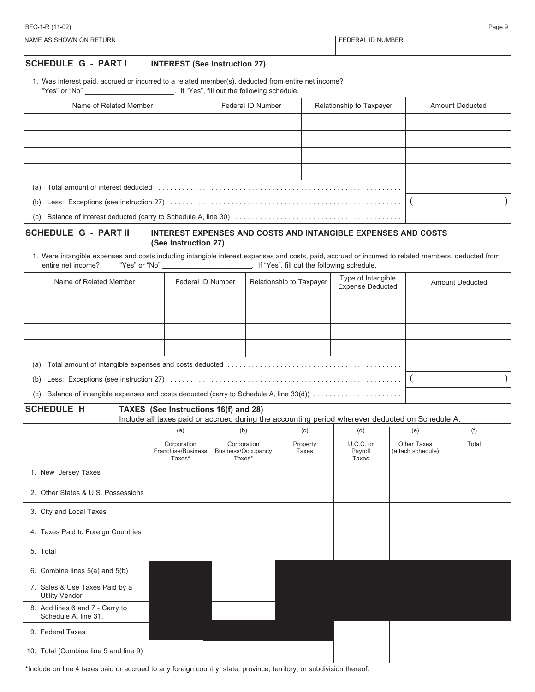| BFC-1-R (11-02)         |                 |  |  |  |
|-------------------------|-----------------|--|--|--|
| NAME AS SHOWN ON RETURN | DERAL ID NUMBER |  |  |  |

## **SCHEDULE G - PART I INTEREST (See Instruction 27)**

| 1. Was interest paid, accrued or incurred to a related member(s), deducted from entire net income? |  |
|----------------------------------------------------------------------------------------------------|--|
|----------------------------------------------------------------------------------------------------|--|

"Yes" or "No" \_\_\_\_\_\_\_\_\_\_\_\_\_\_\_\_\_\_\_\_\_\_\_. If "Yes", fill out the following schedule.

| Name of Related Member                                                                                                                                                                                                                | Federal ID Number | Relationship to Taxpayer | <b>Amount Deducted</b> |
|---------------------------------------------------------------------------------------------------------------------------------------------------------------------------------------------------------------------------------------|-------------------|--------------------------|------------------------|
|                                                                                                                                                                                                                                       |                   |                          |                        |
|                                                                                                                                                                                                                                       |                   |                          |                        |
|                                                                                                                                                                                                                                       |                   |                          |                        |
|                                                                                                                                                                                                                                       |                   |                          |                        |
| Total amount of interest deducted entertainment is a series of the series of the series of the series of the series of the series of the series of the series of the series of the series of the series of the series of the s<br>(a) |                   |                          |                        |
| (b)                                                                                                                                                                                                                                   |                   |                          |                        |
|                                                                                                                                                                                                                                       |                   |                          |                        |

### **SCHEDULE G - PART II INTEREST EXPENSES AND COSTS AND INTANGIBLE EXPENSES AND COSTS (See Instruction 27)**

1. Were intangible expenses and costs including intangible interest expenses and costs, paid, accrued or incurred to related members, deducted from entire net income? "Yes" or "No" entire net income? If "Yes", fill out the following schedule.

| Name of Related Member                                                                     | Federal ID Number | Relationship to Taxpayer | Type of Intangible<br><b>Expense Deducted</b> | <b>Amount Deducted</b> |
|--------------------------------------------------------------------------------------------|-------------------|--------------------------|-----------------------------------------------|------------------------|
|                                                                                            |                   |                          |                                               |                        |
|                                                                                            |                   |                          |                                               |                        |
|                                                                                            |                   |                          |                                               |                        |
|                                                                                            |                   |                          |                                               |                        |
| (a)                                                                                        |                   |                          |                                               |                        |
| (b)                                                                                        |                   |                          |                                               |                        |
| Balance of intangible expenses and costs deducted (carry to Schedule A, line 33(d))<br>(c) |                   |                          |                                               |                        |

**SCHEDULE H TAXES (See Instructions 16(f) and 28)**

Include all taxes paid or accrued during the accounting period wherever deducted on Schedule A.

|                                                         | (a)                                         | (b)                                         | (c)               | (d)                           | (e)                                     | (f)   |
|---------------------------------------------------------|---------------------------------------------|---------------------------------------------|-------------------|-------------------------------|-----------------------------------------|-------|
|                                                         | Corporation<br>Franchise/Business<br>Taxes* | Corporation<br>Business/Occupancy<br>Taxes* | Property<br>Taxes | U.C.C. or<br>Payroll<br>Taxes | <b>Other Taxes</b><br>(attach schedule) | Total |
| 1. New Jersey Taxes                                     |                                             |                                             |                   |                               |                                         |       |
| 2. Other States & U.S. Possessions                      |                                             |                                             |                   |                               |                                         |       |
| 3. City and Local Taxes                                 |                                             |                                             |                   |                               |                                         |       |
| 4. Taxes Paid to Foreign Countries                      |                                             |                                             |                   |                               |                                         |       |
| 5. Total                                                |                                             |                                             |                   |                               |                                         |       |
| 6. Combine lines 5(a) and 5(b)                          |                                             |                                             |                   |                               |                                         |       |
| 7. Sales & Use Taxes Paid by a<br><b>Utility Vendor</b> |                                             |                                             |                   |                               |                                         |       |
| 8. Add lines 6 and 7 - Carry to<br>Schedule A, line 31. |                                             |                                             |                   |                               |                                         |       |
| 9. Federal Taxes                                        |                                             |                                             |                   |                               |                                         |       |
| 10. Total (Combine line 5 and line 9)                   |                                             |                                             |                   |                               |                                         |       |

\*Include on line 4 taxes paid or accrued to any foreign country, state, province, territory, or subdivision thereof.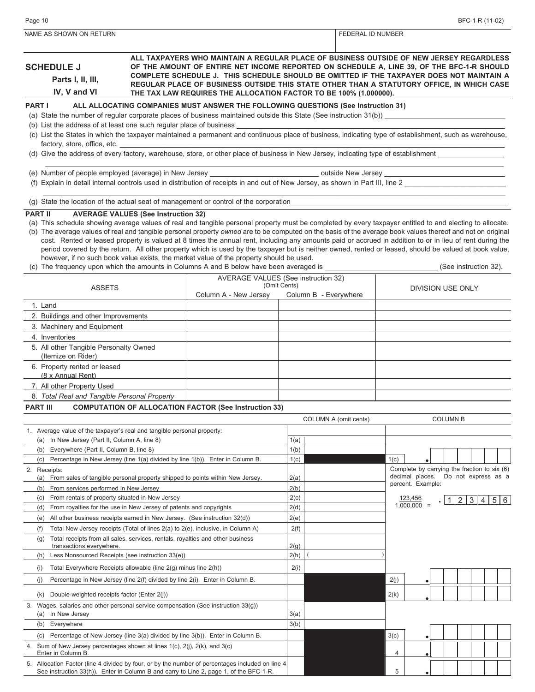| NAME AS SHOWN ON RETURN                                                                                                                                                                                                                                                                                                                                                                                                                                                                                      |                                            |                                                                                                                                                                                                                                                                                                                        |              |                       | FEDERAL ID NUMBER |      |                                              |  |                 |  |                       |
|--------------------------------------------------------------------------------------------------------------------------------------------------------------------------------------------------------------------------------------------------------------------------------------------------------------------------------------------------------------------------------------------------------------------------------------------------------------------------------------------------------------|--------------------------------------------|------------------------------------------------------------------------------------------------------------------------------------------------------------------------------------------------------------------------------------------------------------------------------------------------------------------------|--------------|-----------------------|-------------------|------|----------------------------------------------|--|-----------------|--|-----------------------|
| ALL TAXPAYERS WHO MAINTAIN A REGULAR PLACE OF BUSINESS OUTSIDE OF NEW JERSEY REGARDLESS<br><b>SCHEDULE J</b><br>OF THE AMOUNT OF ENTIRE NET INCOME REPORTED ON SCHEDULE A, LINE 39, OF THE BFC-1-R SHOULD<br>COMPLETE SCHEDULE J. THIS SCHEDULE SHOULD BE OMITTED IF THE TAXPAYER DOES NOT MAINTAIN A<br>Parts I, II, III,<br>REGULAR PLACE OF BUSINESS OUTSIDE THIS STATE OTHER THAN A STATUTORY OFFICE, IN WHICH CASE<br>IV, V and VI<br>THE TAX LAW REQUIRES THE ALLOCATION FACTOR TO BE 100% (1.000000). |                                            |                                                                                                                                                                                                                                                                                                                        |              |                       |                   |      |                                              |  |                 |  |                       |
| <b>PART I</b>                                                                                                                                                                                                                                                                                                                                                                                                                                                                                                |                                            | ALL ALLOCATING COMPANIES MUST ANSWER THE FOLLOWING QUESTIONS (See Instruction 31)                                                                                                                                                                                                                                      |              |                       |                   |      |                                              |  |                 |  |                       |
|                                                                                                                                                                                                                                                                                                                                                                                                                                                                                                              |                                            | (a) State the number of regular corporate places of business maintained outside this State (See instruction 31(b))                                                                                                                                                                                                     |              |                       |                   |      |                                              |  |                 |  |                       |
| (b) List the address of at least one such regular place of business                                                                                                                                                                                                                                                                                                                                                                                                                                          |                                            |                                                                                                                                                                                                                                                                                                                        |              |                       |                   |      |                                              |  |                 |  |                       |
| factory, store, office, etc.                                                                                                                                                                                                                                                                                                                                                                                                                                                                                 |                                            | (c) List the States in which the taxpayer maintained a permanent and continuous place of business, indicating type of establishment, such as warehouse,                                                                                                                                                                |              |                       |                   |      |                                              |  |                 |  |                       |
|                                                                                                                                                                                                                                                                                                                                                                                                                                                                                                              |                                            | (d) Give the address of every factory, warehouse, store, or other place of business in New Jersey, indicating type of establishment                                                                                                                                                                                    |              |                       |                   |      |                                              |  |                 |  |                       |
|                                                                                                                                                                                                                                                                                                                                                                                                                                                                                                              |                                            |                                                                                                                                                                                                                                                                                                                        |              |                       |                   |      |                                              |  |                 |  |                       |
| (e) Number of people employed (average) in New Jersey _______________                                                                                                                                                                                                                                                                                                                                                                                                                                        |                                            |                                                                                                                                                                                                                                                                                                                        |              |                       |                   |      |                                              |  |                 |  |                       |
|                                                                                                                                                                                                                                                                                                                                                                                                                                                                                                              |                                            | (f) Explain in detail internal controls used in distribution of receipts in and out of New Jersey, as shown in Part III, line 2                                                                                                                                                                                        |              |                       |                   |      |                                              |  |                 |  |                       |
|                                                                                                                                                                                                                                                                                                                                                                                                                                                                                                              |                                            | (g) State the location of the actual seat of management or control of the corporation                                                                                                                                                                                                                                  |              |                       |                   |      |                                              |  |                 |  |                       |
| <b>PART II</b>                                                                                                                                                                                                                                                                                                                                                                                                                                                                                               | <b>AVERAGE VALUES (See Instruction 32)</b> |                                                                                                                                                                                                                                                                                                                        |              |                       |                   |      |                                              |  |                 |  |                       |
|                                                                                                                                                                                                                                                                                                                                                                                                                                                                                                              |                                            | (a) This schedule showing average values of real and tangible personal property must be completed by every taxpayer entitled to and electing to allocate.                                                                                                                                                              |              |                       |                   |      |                                              |  |                 |  |                       |
|                                                                                                                                                                                                                                                                                                                                                                                                                                                                                                              |                                            | (b) The average values of real and tangible personal property owned are to be computed on the basis of the average book values thereof and not on original<br>cost. Rented or leased property is valued at 8 times the annual rent, including any amounts paid or accrued in addition to or in lieu of rent during the |              |                       |                   |      |                                              |  |                 |  |                       |
|                                                                                                                                                                                                                                                                                                                                                                                                                                                                                                              |                                            | period covered by the return. All other property which is used by the taxpayer but is neither owned, rented or leased, should be valued at book value,                                                                                                                                                                 |              |                       |                   |      |                                              |  |                 |  |                       |
|                                                                                                                                                                                                                                                                                                                                                                                                                                                                                                              |                                            | however, if no such book value exists, the market value of the property should be used.<br>(c) The frequency upon which the amounts in Columns A and B below have been averaged is                                                                                                                                     |              |                       |                   |      |                                              |  |                 |  | (See instruction 32). |
|                                                                                                                                                                                                                                                                                                                                                                                                                                                                                                              |                                            | AVERAGE VALUES (See instruction 32)                                                                                                                                                                                                                                                                                    |              |                       |                   |      |                                              |  |                 |  |                       |
| <b>ASSETS</b>                                                                                                                                                                                                                                                                                                                                                                                                                                                                                                |                                            |                                                                                                                                                                                                                                                                                                                        | (Omit Cents) |                       |                   |      | DIVISION USE ONLY                            |  |                 |  |                       |
|                                                                                                                                                                                                                                                                                                                                                                                                                                                                                                              |                                            | Column A - New Jersey                                                                                                                                                                                                                                                                                                  |              | Column B - Everywhere |                   |      |                                              |  |                 |  |                       |
| 1. Land                                                                                                                                                                                                                                                                                                                                                                                                                                                                                                      |                                            |                                                                                                                                                                                                                                                                                                                        |              |                       |                   |      |                                              |  |                 |  |                       |
| 2. Buildings and other Improvements<br>3. Machinery and Equipment                                                                                                                                                                                                                                                                                                                                                                                                                                            |                                            |                                                                                                                                                                                                                                                                                                                        |              |                       |                   |      |                                              |  |                 |  |                       |
| 4. Inventories                                                                                                                                                                                                                                                                                                                                                                                                                                                                                               |                                            |                                                                                                                                                                                                                                                                                                                        |              |                       |                   |      |                                              |  |                 |  |                       |
| 5. All other Tangible Personalty Owned                                                                                                                                                                                                                                                                                                                                                                                                                                                                       |                                            |                                                                                                                                                                                                                                                                                                                        |              |                       |                   |      |                                              |  |                 |  |                       |
| (Itemize on Rider)                                                                                                                                                                                                                                                                                                                                                                                                                                                                                           |                                            |                                                                                                                                                                                                                                                                                                                        |              |                       |                   |      |                                              |  |                 |  |                       |
| 6. Property rented or leased<br>(8 x Annual Rent)                                                                                                                                                                                                                                                                                                                                                                                                                                                            |                                            |                                                                                                                                                                                                                                                                                                                        |              |                       |                   |      |                                              |  |                 |  |                       |
| 7. All other Property Used                                                                                                                                                                                                                                                                                                                                                                                                                                                                                   |                                            |                                                                                                                                                                                                                                                                                                                        |              |                       |                   |      |                                              |  |                 |  |                       |
| 8. Total Real and Tangible Personal Property                                                                                                                                                                                                                                                                                                                                                                                                                                                                 |                                            |                                                                                                                                                                                                                                                                                                                        |              |                       |                   |      |                                              |  |                 |  |                       |
| <b>PART III</b>                                                                                                                                                                                                                                                                                                                                                                                                                                                                                              |                                            | <b>COMPUTATION OF ALLOCATION FACTOR (See Instruction 33)</b>                                                                                                                                                                                                                                                           |              |                       |                   |      |                                              |  |                 |  |                       |
|                                                                                                                                                                                                                                                                                                                                                                                                                                                                                                              |                                            |                                                                                                                                                                                                                                                                                                                        |              | COLUMN A (omit cents) |                   |      |                                              |  | <b>COLUMN B</b> |  |                       |
| 1. Average value of the taxpayer's real and tangible personal property:                                                                                                                                                                                                                                                                                                                                                                                                                                      |                                            |                                                                                                                                                                                                                                                                                                                        |              |                       |                   |      |                                              |  |                 |  |                       |
| (a) In New Jersey (Part II, Column A, line 8)                                                                                                                                                                                                                                                                                                                                                                                                                                                                |                                            |                                                                                                                                                                                                                                                                                                                        | 1(a)         |                       |                   |      |                                              |  |                 |  |                       |
| (b) Everywhere (Part II, Column B, line 8)<br>(c)                                                                                                                                                                                                                                                                                                                                                                                                                                                            |                                            | Percentage in New Jersey (line 1(a) divided by line 1(b)). Enter in Column B.                                                                                                                                                                                                                                          | 1(b)<br>1(c) |                       |                   | 1(c) |                                              |  |                 |  |                       |
| 2. Receipts:                                                                                                                                                                                                                                                                                                                                                                                                                                                                                                 |                                            |                                                                                                                                                                                                                                                                                                                        |              |                       |                   |      | Complete by carrying the fraction to six (6) |  |                 |  |                       |
| (a) From sales of tangible personal property shipped to points within New Jersey.                                                                                                                                                                                                                                                                                                                                                                                                                            |                                            |                                                                                                                                                                                                                                                                                                                        | 2(a)         |                       |                   |      | decimal places.<br>percent. Example:         |  |                 |  | Do not express as a   |
| (b) From services performed in New Jersey                                                                                                                                                                                                                                                                                                                                                                                                                                                                    |                                            |                                                                                                                                                                                                                                                                                                                        | 2(b)         |                       |                   |      |                                              |  |                 |  |                       |
| (c) From rentals of property situated in New Jersey<br>From royalties for the use in New Jersey of patents and copyrights<br>(d)                                                                                                                                                                                                                                                                                                                                                                             |                                            |                                                                                                                                                                                                                                                                                                                        | 2(c)<br>2(d) |                       |                   |      | 123,456<br>$1,000,000 =$                     |  |                 |  | 123456                |
| (e) All other business receipts earned in New Jersey. (See instruction 32(d))                                                                                                                                                                                                                                                                                                                                                                                                                                |                                            |                                                                                                                                                                                                                                                                                                                        | 2(e)         |                       |                   |      |                                              |  |                 |  |                       |
| (f)                                                                                                                                                                                                                                                                                                                                                                                                                                                                                                          |                                            | Total New Jersey receipts (Total of lines 2(a) to 2(e), inclusive, in Column A)                                                                                                                                                                                                                                        | 2(f)         |                       |                   |      |                                              |  |                 |  |                       |
| Total receipts from all sales, services, rentals, royalties and other business<br>(g)                                                                                                                                                                                                                                                                                                                                                                                                                        |                                            |                                                                                                                                                                                                                                                                                                                        |              |                       |                   |      |                                              |  |                 |  |                       |
| transactions everywhere.<br>Less Nonsourced Receipts (see instruction 33(e))<br>(h)                                                                                                                                                                                                                                                                                                                                                                                                                          |                                            |                                                                                                                                                                                                                                                                                                                        | 2(g)<br>2(h) |                       |                   |      |                                              |  |                 |  |                       |
| Total Everywhere Receipts allowable (line 2(g) minus line 2(h))<br>(i)                                                                                                                                                                                                                                                                                                                                                                                                                                       |                                            |                                                                                                                                                                                                                                                                                                                        | 2(i)         |                       |                   |      |                                              |  |                 |  |                       |
| (i)<br>Percentage in New Jersey (line 2(f) divided by line 2(i). Enter in Column B.                                                                                                                                                                                                                                                                                                                                                                                                                          |                                            |                                                                                                                                                                                                                                                                                                                        |              |                       |                   | 2(j) |                                              |  |                 |  |                       |
| Double-weighted receipts factor (Enter 2(j))<br>(k)                                                                                                                                                                                                                                                                                                                                                                                                                                                          |                                            |                                                                                                                                                                                                                                                                                                                        |              |                       |                   | 2(k) |                                              |  |                 |  |                       |
| 3. Wages, salaries and other personal service compensation (See instruction $33(q)$ )                                                                                                                                                                                                                                                                                                                                                                                                                        |                                            |                                                                                                                                                                                                                                                                                                                        |              |                       |                   |      |                                              |  |                 |  |                       |
| (a) In New Jersey                                                                                                                                                                                                                                                                                                                                                                                                                                                                                            |                                            |                                                                                                                                                                                                                                                                                                                        | 3(a)         |                       |                   |      |                                              |  |                 |  |                       |
| (b) Everywhere                                                                                                                                                                                                                                                                                                                                                                                                                                                                                               |                                            |                                                                                                                                                                                                                                                                                                                        | 3(b)         |                       |                   |      |                                              |  |                 |  |                       |
| (c)                                                                                                                                                                                                                                                                                                                                                                                                                                                                                                          |                                            | Percentage of New Jersey (line 3(a) divided by line 3(b)). Enter in Column B.                                                                                                                                                                                                                                          |              |                       |                   | 3(c) |                                              |  |                 |  |                       |
| 4. Sum of New Jersey percentages shown at lines 1(c), 2(j), 2(k), and 3(c)<br>Enter in Column B.                                                                                                                                                                                                                                                                                                                                                                                                             |                                            |                                                                                                                                                                                                                                                                                                                        |              |                       |                   | 4    |                                              |  |                 |  |                       |
|                                                                                                                                                                                                                                                                                                                                                                                                                                                                                                              |                                            | 5. Allocation Factor (line 4 divided by four, or by the number of percentages included on line 4<br>See instruction 33(h)). Enter in Column B and carry to Line 2, page 1, of the BFC-1-R.                                                                                                                             |              |                       |                   | 5    |                                              |  |                 |  |                       |
|                                                                                                                                                                                                                                                                                                                                                                                                                                                                                                              |                                            |                                                                                                                                                                                                                                                                                                                        |              |                       |                   |      |                                              |  |                 |  |                       |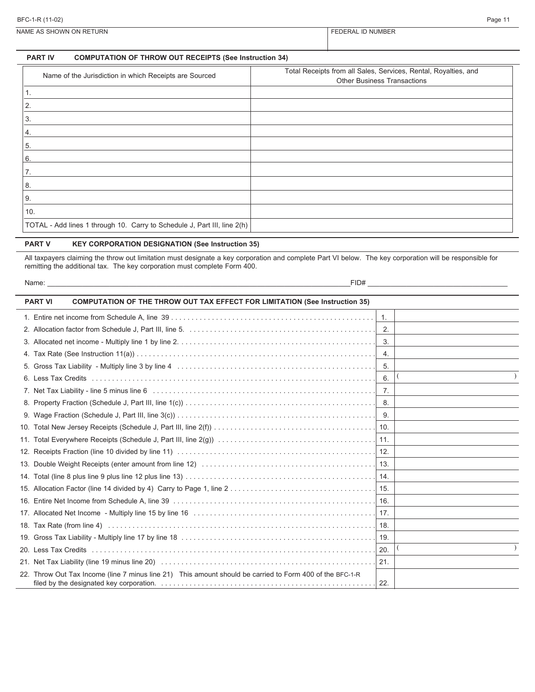NAME AS SHOWN ON RETURN FEDERAL ID NUMBER

### **PART IV COMPUTATION OF THROW OUT RECEIPTS (See Instruction 34)**

| Name of the Jurisdiction in which Receipts are Sourced                   | Total Receipts from all Sales, Services, Rental, Royalties, and<br><b>Other Business Transactions</b> |
|--------------------------------------------------------------------------|-------------------------------------------------------------------------------------------------------|
|                                                                          |                                                                                                       |
| 2.                                                                       |                                                                                                       |
| 3.                                                                       |                                                                                                       |
| 4.                                                                       |                                                                                                       |
| 5.                                                                       |                                                                                                       |
| 6.                                                                       |                                                                                                       |
| 7.                                                                       |                                                                                                       |
| 8.                                                                       |                                                                                                       |
| 9.                                                                       |                                                                                                       |
| 10.                                                                      |                                                                                                       |
| TOTAL - Add lines 1 through 10. Carry to Schedule J, Part III, line 2(h) |                                                                                                       |

### **PART V KEY CORPORATION DESIGNATION (See Instruction 35)**

All taxpayers claiming the throw out limitation must designate a key corporation and complete Part VI below. The key corporation will be responsible for remitting the additional tax. The key corporation must complete Form 400.

| Name: | FID# |  |
|-------|------|--|
|       |      |  |

| <b>COMPUTATION OF THE THROW OUT TAX EFFECT FOR LIMITATION (See Instruction 35)</b><br><b>PART VI</b>     |                  |  |
|----------------------------------------------------------------------------------------------------------|------------------|--|
|                                                                                                          | $\overline{1}$ . |  |
|                                                                                                          | $\overline{2}$ . |  |
|                                                                                                          |                  |  |
|                                                                                                          | 4.               |  |
|                                                                                                          | 5.               |  |
|                                                                                                          | 6.               |  |
|                                                                                                          |                  |  |
|                                                                                                          |                  |  |
|                                                                                                          |                  |  |
|                                                                                                          |                  |  |
|                                                                                                          |                  |  |
|                                                                                                          |                  |  |
|                                                                                                          |                  |  |
|                                                                                                          |                  |  |
|                                                                                                          |                  |  |
|                                                                                                          |                  |  |
|                                                                                                          |                  |  |
|                                                                                                          |                  |  |
|                                                                                                          |                  |  |
|                                                                                                          | 20.              |  |
|                                                                                                          | 21.              |  |
| 22. Throw Out Tax Income (line 7 minus line 21) This amount should be carried to Form 400 of the BFC-1-R | 22.              |  |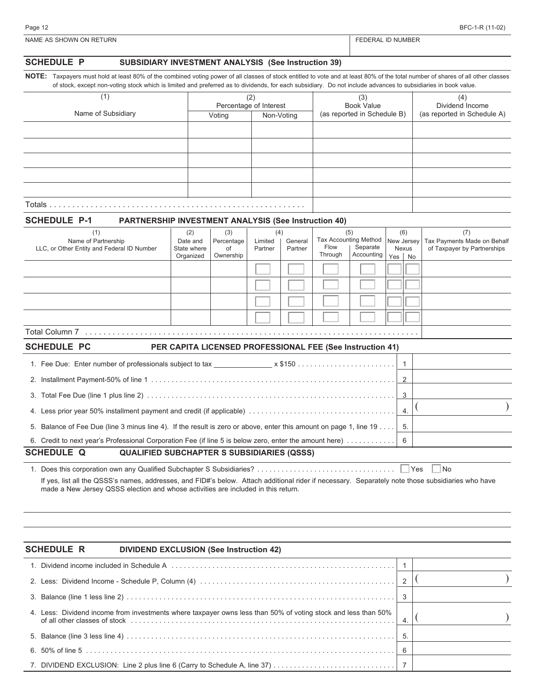| ١r<br>. . |  |  |
|-----------|--|--|
|           |  |  |

**NOTE:** Taxpayers must hold at least 80% of the combined voting power of all classes of stock entitled to vote and at least 80% of the total number of shares of all other classes of stock, except non-voting stock which is limited and preferred as to dividends, for each subsidiary. Do not include advances to subsidiaries in book value.

| (1)                | (2)    | Percentage of Interest | (3)<br><b>Book Value</b>    | (4)<br>Dividend Income      |
|--------------------|--------|------------------------|-----------------------------|-----------------------------|
| Name of Subsidiary | Voting | Non-Voting             | (as reported in Schedule B) | (as reported in Schedule A) |
|                    |        |                        |                             |                             |
|                    |        |                        |                             |                             |
|                    |        |                        |                             |                             |
|                    |        |                        |                             |                             |
|                    |        |                        |                             |                             |
| Totals.            |        |                        |                             |                             |

### **SCHEDULE P-1 PARTNERSHIP INVESTMENT ANALYSIS (See Instruction 40)**

| (1)                                        | (2)         | (3)        | (4)     |         | (5)     |                              | (6)                     |           | (7)                         |
|--------------------------------------------|-------------|------------|---------|---------|---------|------------------------------|-------------------------|-----------|-----------------------------|
| Name of Partnership                        | Date and    | Percentage | Limited | General |         | <b>Tax Accounting Method</b> | New Jersey <sup>1</sup> |           | Tax Payments Made on Behalf |
| LLC, or Other Entity and Federal ID Number | State where | of         | Partner | Partner | Flow    | Separate                     |                         | Nexus     | of Taxpayer by Partnerships |
|                                            | Organized   | Ownership  |         |         | Through | Accounting                   | Yes                     | <b>No</b> |                             |
|                                            |             |            |         |         |         |                              |                         |           |                             |
|                                            |             |            |         |         |         |                              |                         |           |                             |
|                                            |             |            |         |         |         |                              |                         |           |                             |
|                                            |             |            |         |         |         |                              |                         |           |                             |
|                                            |             |            |         |         |         |                              |                         |           |                             |
|                                            |             |            |         |         |         |                              |                         |           |                             |
|                                            |             |            |         |         |         |                              |                         |           |                             |
|                                            |             |            |         |         |         |                              |                         |           |                             |
| <b>Total Column 7</b>                      |             |            |         |         |         |                              |                         |           |                             |

| <b>SCHEDULE PC</b> |                                                   | PER CAPITA LICENSED PROFESSIONAL FEE (See Instruction 41)                                                              |  |  |
|--------------------|---------------------------------------------------|------------------------------------------------------------------------------------------------------------------------|--|--|
|                    |                                                   |                                                                                                                        |  |  |
|                    |                                                   |                                                                                                                        |  |  |
|                    |                                                   |                                                                                                                        |  |  |
|                    |                                                   |                                                                                                                        |  |  |
|                    |                                                   | 5. Balance of Fee Due (line 3 minus line 4). If the result is zero or above, enter this amount on page 1, line 19   5. |  |  |
|                    |                                                   |                                                                                                                        |  |  |
| <b>SCHEDULE Q</b>  | <b>QUALIFIED SUBCHAPTER S SUBSIDIARIES (QSSS)</b> |                                                                                                                        |  |  |

1. Does this corporation own any Qualified Subchapter S Subsidiaries? . . . . . . . . . . . . . . . . . . . . . . . . . . . . . . . . . . Yes No If yes, list all the QSSS's names, addresses, and FID#'s below. Attach additional rider if necessary. Separately note those subsidiaries who have made a New Jersey QSSS election and whose activities are included in this return.

### **SCHEDULE R DIVIDEND EXCLUSION (See Instruction 42)**

|  | $\overline{4}$ |  |
|--|----------------|--|
|  |                |  |
|  | 6              |  |
|  |                |  |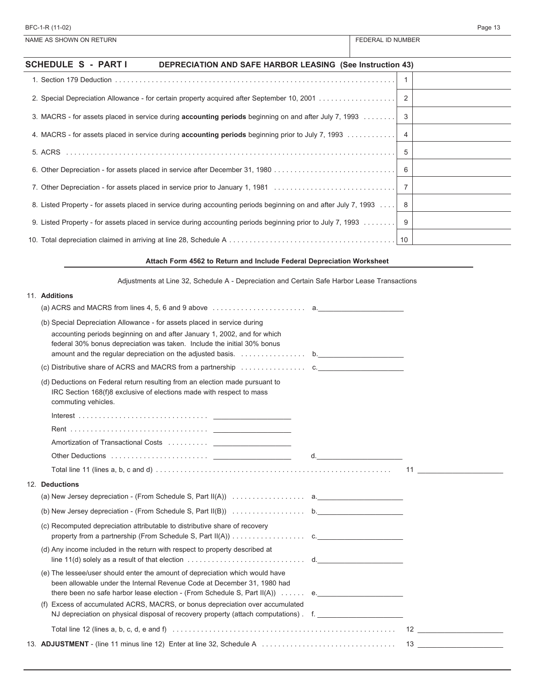| NAME AS SHOWN ON RETURN                                                                                         | <b>FEDERAL ID NUMBER</b> |
|-----------------------------------------------------------------------------------------------------------------|--------------------------|
| <b>SCHEDULE S - PARTI</b><br><b>DEPRECIATION AND SAFE HARBOR LEASING (See Instruction 43)</b>                   |                          |
|                                                                                                                 |                          |
|                                                                                                                 |                          |
| 3. MACRS - for assets placed in service during <b>accounting periods</b> beginning on and after July 7, 1993    |                          |
| 4. MACRS - for assets placed in service during <b>accounting periods</b> beginning prior to July 7, 1993        | -4                       |
|                                                                                                                 | -5                       |
|                                                                                                                 | 6                        |
| 7. Other Depreciation - for assets placed in service prior to January 1, 1981                                   |                          |
| 8. Listed Property - for assets placed in service during accounting periods beginning on and after July 7, 1993 | - 8                      |
| 9. Listed Property - for assets placed in service during accounting periods beginning prior to July 7, 1993     | -9                       |
|                                                                                                                 |                          |
| Attach Form 4562 to Return and Include Federal Depreciation Worksheet                                           |                          |
| Adjustments at Line 32, Schedule A - Depreciation and Certain Safe Harbor Lease Transactions                    |                          |

| 11. Additions                                                                                                                                                                                |  |
|----------------------------------------------------------------------------------------------------------------------------------------------------------------------------------------------|--|
| (a) ACRS and MACRS from lines 4, 5, 6 and 9 above $\ldots \ldots \ldots \ldots \ldots \ldots$ a.                                                                                             |  |
| (b) Special Depreciation Allowance - for assets placed in service during                                                                                                                     |  |
| accounting periods beginning on and after January 1, 2002, and for which<br>federal 30% bonus depreciation was taken. Include the initial 30% bonus                                          |  |
|                                                                                                                                                                                              |  |
| (c) Distributive share of ACRS and MACRS from a partnership $\ldots \ldots \ldots \ldots$                                                                                                    |  |
| (d) Deductions on Federal return resulting from an election made pursuant to<br>IRC Section 168(f)8 exclusive of elections made with respect to mass<br>commuting vehicles.                  |  |
|                                                                                                                                                                                              |  |
|                                                                                                                                                                                              |  |
|                                                                                                                                                                                              |  |
|                                                                                                                                                                                              |  |
| Total line 11 (lines a, b, c and d) $\ldots$ $\ldots$ $\ldots$ $\ldots$ $\ldots$ $\ldots$ $\ldots$ $\ldots$ $\ldots$ $\ldots$ $\ldots$ $\ldots$ $\ldots$ $\ldots$ $\ldots$ $\ldots$ $\ldots$ |  |
| 12. Deductions                                                                                                                                                                               |  |
|                                                                                                                                                                                              |  |
|                                                                                                                                                                                              |  |
| (c) Recomputed depreciation attributable to distributive share of recovery                                                                                                                   |  |
| (d) Any income included in the return with respect to property described at<br>line 11(d) solely as a result of that election $\ldots \ldots \ldots \ldots \ldots \ldots \ldots$ d.          |  |
| (e) The lessee/user should enter the amount of depreciation which would have<br>been allowable under the Internal Revenue Code at December 31, 1980 had                                      |  |
| there been no safe harbor lease election - (From Schedule S, Part $II(A)$ )  e.                                                                                                              |  |
| (f) Excess of accumulated ACRS, MACRS, or bonus depreciation over accumulated<br>NJ depreciation on physical disposal of recovery property (attach computations) f.                          |  |
|                                                                                                                                                                                              |  |
| Total line 12 (lines a, b, c, d, e and f) $\ldots$ $\ldots$ $\ldots$ $\ldots$ $\ldots$ $\ldots$ $\ldots$ $\ldots$ $\ldots$ $\ldots$ $\ldots$ $\ldots$ $\ldots$ 12                            |  |
|                                                                                                                                                                                              |  |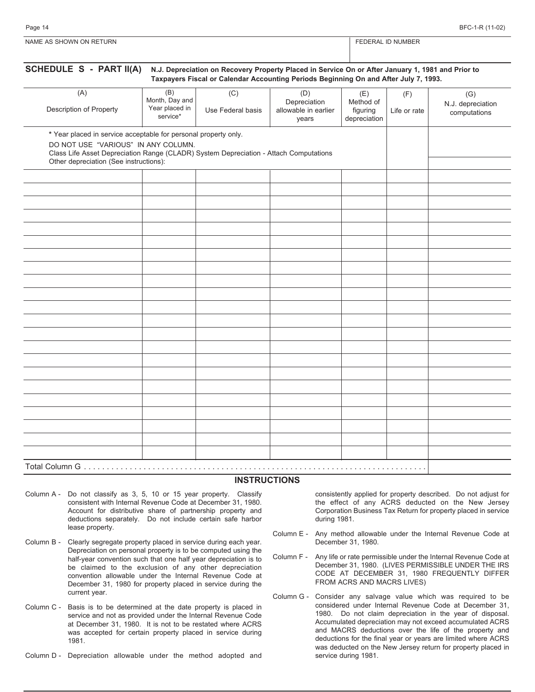| NAME AS SHOWN ON RETURN | ) NUMBER<br>⊡DER∆∟ |
|-------------------------|--------------------|
|                         |                    |
|                         |                    |

| (A)                                                                                                                                                                                                                                       | (B)<br>Month, Day and      | (C)               | (D)                                           | (E)                                   | (F)          | (G)                               |
|-------------------------------------------------------------------------------------------------------------------------------------------------------------------------------------------------------------------------------------------|----------------------------|-------------------|-----------------------------------------------|---------------------------------------|--------------|-----------------------------------|
| Description of Property                                                                                                                                                                                                                   | Year placed in<br>service* | Use Federal basis | Depreciation<br>allowable in earlier<br>years | Method of<br>figuring<br>depreciation | Life or rate | N.J. depreciation<br>computations |
| * Year placed in service acceptable for personal property only.<br>DO NOT USE "VARIOUS" IN ANY COLUMN.<br>Class Life Asset Depreciation Range (CLADR) System Depreciation - Attach Computations<br>Other depreciation (See instructions): |                            |                   |                                               |                                       |              |                                   |
|                                                                                                                                                                                                                                           |                            |                   |                                               |                                       |              |                                   |
|                                                                                                                                                                                                                                           |                            |                   |                                               |                                       |              |                                   |
|                                                                                                                                                                                                                                           |                            |                   |                                               |                                       |              |                                   |
|                                                                                                                                                                                                                                           |                            |                   |                                               |                                       |              |                                   |
|                                                                                                                                                                                                                                           |                            |                   |                                               |                                       |              |                                   |
|                                                                                                                                                                                                                                           |                            |                   |                                               |                                       |              |                                   |
|                                                                                                                                                                                                                                           |                            |                   |                                               |                                       |              |                                   |
|                                                                                                                                                                                                                                           |                            |                   |                                               |                                       |              |                                   |
|                                                                                                                                                                                                                                           |                            |                   |                                               |                                       |              |                                   |
|                                                                                                                                                                                                                                           |                            |                   |                                               |                                       |              |                                   |
|                                                                                                                                                                                                                                           |                            |                   |                                               |                                       |              |                                   |
|                                                                                                                                                                                                                                           |                            |                   |                                               |                                       |              |                                   |
|                                                                                                                                                                                                                                           |                            |                   |                                               |                                       |              |                                   |
|                                                                                                                                                                                                                                           |                            |                   |                                               |                                       |              |                                   |
|                                                                                                                                                                                                                                           |                            |                   |                                               |                                       |              |                                   |
|                                                                                                                                                                                                                                           |                            |                   |                                               |                                       |              |                                   |
|                                                                                                                                                                                                                                           |                            |                   |                                               |                                       |              |                                   |
|                                                                                                                                                                                                                                           |                            |                   |                                               |                                       |              |                                   |
|                                                                                                                                                                                                                                           |                            |                   |                                               |                                       |              |                                   |
|                                                                                                                                                                                                                                           |                            |                   |                                               |                                       |              |                                   |

### **INSTRUCTIONS**

- Column A Do not classify as 3, 5, 10 or 15 year property. Classify consistent with Internal Revenue Code at December 31, 1980. Account for distributive share of partnership property and deductions separately. Do not include certain safe harbor lease property.
- Column B Clearly segregate property placed in service during each year. Depreciation on personal property is to be computed using the half-year convention such that one half year depreciation is to be claimed to the exclusion of any other depreciation convention allowable under the Internal Revenue Code at December 31, 1980 for property placed in service during the current year.
- Column C Basis is to be determined at the date property is placed in service and not as provided under the Internal Revenue Code at December 31, 1980. It is not to be restated where ACRS was accepted for certain property placed in service during 1981.
- Column D Depreciation allowable under the method adopted and

consistently applied for property described. Do not adjust for the effect of any ACRS deducted on the New Jersey Corporation Business Tax Return for property placed in service during 1981.

- Column E Any method allowable under the Internal Revenue Code at December 31, 1980.
- Column F Any life or rate permissible under the Internal Revenue Code at December 31, 1980. (LIVES PERMISSIBLE UNDER THE IRS CODE AT DECEMBER 31, 1980 FREQUENTLY DIFFER FROM ACRS AND MACRS LIVES)
- Column G Consider any salvage value which was required to be considered under Internal Revenue Code at December 31, 1980. Do not claim depreciation in the year of disposal. Accumulated depreciation may not exceed accumulated ACRS and MACRS deductions over the life of the property and deductions for the final year or years are limited where ACRS was deducted on the New Jersey return for property placed in service during 1981.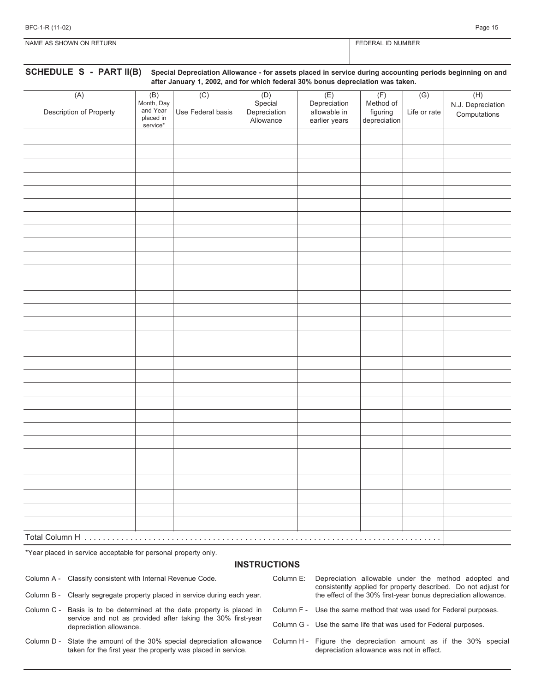| BFC-1-R (11-02) | Page 15 |
|-----------------|---------|
|                 |         |

FEDERAL ID NUMBER

| NAME AS SHOWN ON RETURN |  |
|-------------------------|--|

# **SCHEDULE S - PART II(B) Special Depreciation Allowance - for assets placed in service during accounting periods beginning on and after January 1, 2002, and for which federal 30% bonus depreciation was taken.**

| (A)<br>Description of Property | (B)<br>Month, Day<br>and Year<br>placed in<br>service* | $\overline{(C)}$<br>Use Federal basis | (D)<br>Special<br>Depreciation<br>Allowance | (E)<br>Depreciation<br>allowable in<br>earlier years | (F)<br>Method of<br>figuring<br>depreciation | (G)<br>Life or rate | (H)<br>N.J. Depreciation<br>Computations |
|--------------------------------|--------------------------------------------------------|---------------------------------------|---------------------------------------------|------------------------------------------------------|----------------------------------------------|---------------------|------------------------------------------|
|                                |                                                        |                                       |                                             |                                                      |                                              |                     |                                          |
|                                |                                                        |                                       |                                             |                                                      |                                              |                     |                                          |
|                                |                                                        |                                       |                                             |                                                      |                                              |                     |                                          |
|                                |                                                        |                                       |                                             |                                                      |                                              |                     |                                          |
|                                |                                                        |                                       |                                             |                                                      |                                              |                     |                                          |
|                                |                                                        |                                       |                                             |                                                      |                                              |                     |                                          |
|                                |                                                        |                                       |                                             |                                                      |                                              |                     |                                          |
|                                |                                                        |                                       |                                             |                                                      |                                              |                     |                                          |
|                                |                                                        |                                       |                                             |                                                      |                                              |                     |                                          |
|                                |                                                        |                                       |                                             |                                                      |                                              |                     |                                          |
|                                |                                                        |                                       |                                             |                                                      |                                              |                     |                                          |
|                                |                                                        |                                       |                                             |                                                      |                                              |                     |                                          |
|                                |                                                        |                                       |                                             |                                                      |                                              |                     |                                          |
|                                |                                                        |                                       |                                             |                                                      |                                              |                     |                                          |
|                                |                                                        |                                       |                                             |                                                      |                                              |                     |                                          |
|                                |                                                        |                                       |                                             |                                                      |                                              |                     |                                          |
|                                |                                                        |                                       |                                             |                                                      |                                              |                     |                                          |
|                                |                                                        |                                       |                                             |                                                      |                                              |                     |                                          |
|                                |                                                        |                                       |                                             |                                                      |                                              |                     |                                          |
|                                |                                                        |                                       |                                             |                                                      |                                              |                     |                                          |
|                                |                                                        |                                       |                                             |                                                      |                                              |                     |                                          |
|                                |                                                        |                                       |                                             |                                                      |                                              |                     |                                          |
|                                |                                                        |                                       |                                             |                                                      |                                              |                     |                                          |
|                                |                                                        |                                       |                                             |                                                      |                                              |                     |                                          |
|                                |                                                        |                                       |                                             |                                                      |                                              |                     |                                          |
|                                |                                                        |                                       |                                             |                                                      |                                              |                     |                                          |
|                                |                                                        |                                       |                                             |                                                      |                                              |                     |                                          |
|                                |                                                        |                                       |                                             |                                                      |                                              |                     |                                          |
|                                |                                                        |                                       |                                             |                                                      |                                              |                     |                                          |
|                                |                                                        |                                       |                                             |                                                      |                                              |                     |                                          |
|                                |                                                        |                                       |                                             |                                                      |                                              |                     |                                          |

\*Year placed in service acceptable for personal property only.

### **INSTRUCTIONS**

Column A - Classify consistent with Internal Revenue Code.

- Column E: Depreciation allowable under the method adopted and consistently applied for property described. Do not adjust for the effect of the 30% first-year bonus depreciation allowance.
- Column B Clearly segregate property placed in service during each year.
- Column C Basis is to be determined at the date property is placed in service and not as provided after taking the 30% first-year depreciation allowance.
- Column D State the amount of the 30% special depreciation allowance taken for the first year the property was placed in service.
- Column F Use the same method that was used for Federal purposes.
- Column G Use the same life that was used for Federal purposes.
- Column H Figure the depreciation amount as if the 30% special depreciation allowance was not in effect.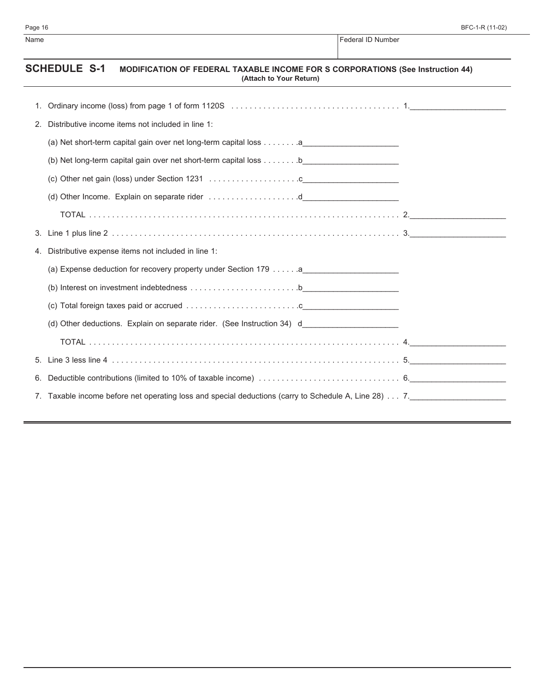| Name |                                                                                                                                         | Federal ID Number |  |  |  |
|------|-----------------------------------------------------------------------------------------------------------------------------------------|-------------------|--|--|--|
|      | <b>SCHEDULE S-1</b><br><b>MODIFICATION OF FEDERAL TAXABLE INCOME FOR S CORPORATIONS (See Instruction 44)</b><br>(Attach to Your Return) |                   |  |  |  |
| 1.   |                                                                                                                                         |                   |  |  |  |
| 2.   | Distributive income items not included in line 1:                                                                                       |                   |  |  |  |
|      | (a) Net short-term capital gain over net long-term capital loss a                                                                       |                   |  |  |  |
|      |                                                                                                                                         |                   |  |  |  |
|      |                                                                                                                                         |                   |  |  |  |
|      |                                                                                                                                         |                   |  |  |  |
|      |                                                                                                                                         |                   |  |  |  |
| 3.   |                                                                                                                                         |                   |  |  |  |
| 4.   | Distributive expense items not included in line 1:                                                                                      |                   |  |  |  |
|      |                                                                                                                                         |                   |  |  |  |
|      |                                                                                                                                         |                   |  |  |  |
|      |                                                                                                                                         |                   |  |  |  |
|      | (d) Other deductions. Explain on separate rider. (See Instruction 34) d                                                                 |                   |  |  |  |
|      |                                                                                                                                         |                   |  |  |  |
| 5.   |                                                                                                                                         |                   |  |  |  |
| 6.   |                                                                                                                                         |                   |  |  |  |
|      | 7. Taxable income before net operating loss and special deductions (carry to Schedule A, Line 28) 7. ___________________________        |                   |  |  |  |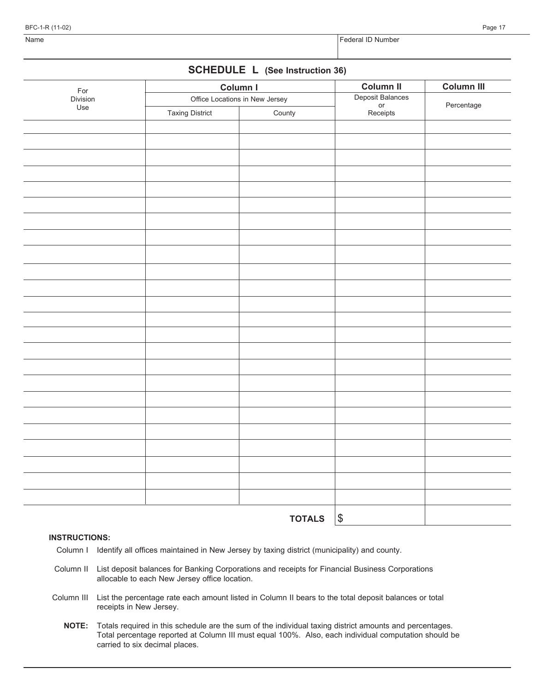BFC-1-R (11-02) Page 17

## **SCHEDULE L (See Instruction 36)**

| For      |                        | Column I                       | <b>Column II</b>                   | Column III<br>Percentage |
|----------|------------------------|--------------------------------|------------------------------------|--------------------------|
| Division |                        | Office Locations in New Jersey | Deposit Balances<br>or<br>Receipts |                          |
| Use      | <b>Taxing District</b> | County                         |                                    |                          |
|          |                        |                                |                                    |                          |
|          |                        |                                |                                    |                          |
|          |                        |                                |                                    |                          |
|          |                        |                                |                                    |                          |
|          |                        |                                |                                    |                          |
|          |                        |                                |                                    |                          |
|          |                        |                                |                                    |                          |
|          |                        |                                |                                    |                          |
|          |                        |                                |                                    |                          |
|          |                        |                                |                                    |                          |
|          |                        |                                |                                    |                          |
|          |                        |                                |                                    |                          |
|          |                        |                                |                                    |                          |
|          |                        |                                |                                    |                          |
|          |                        |                                |                                    |                          |
|          |                        |                                |                                    |                          |
|          |                        |                                |                                    |                          |
|          |                        |                                |                                    |                          |
|          |                        |                                |                                    |                          |
|          |                        |                                |                                    |                          |
|          |                        |                                |                                    |                          |
|          |                        |                                |                                    |                          |
|          |                        |                                |                                    |                          |
|          |                        |                                |                                    |                          |
|          |                        |                                |                                    |                          |
|          |                        |                                |                                    |                          |
|          |                        | <b>TOTALS</b>                  | $ \$\$                             |                          |

### **INSTRUCTIONS:**

- Column I Identify all offices maintained in New Jersey by taxing district (municipality) and county.
- Column II List deposit balances for Banking Corporations and receipts for Financial Business Corporations allocable to each New Jersey office location.
- Column III List the percentage rate each amount listed in Column II bears to the total deposit balances or total receipts in New Jersey.
	- **NOTE:** Totals required in this schedule are the sum of the individual taxing district amounts and percentages. Total percentage reported at Column III must equal 100%. Also, each individual computation should be carried to six decimal places.